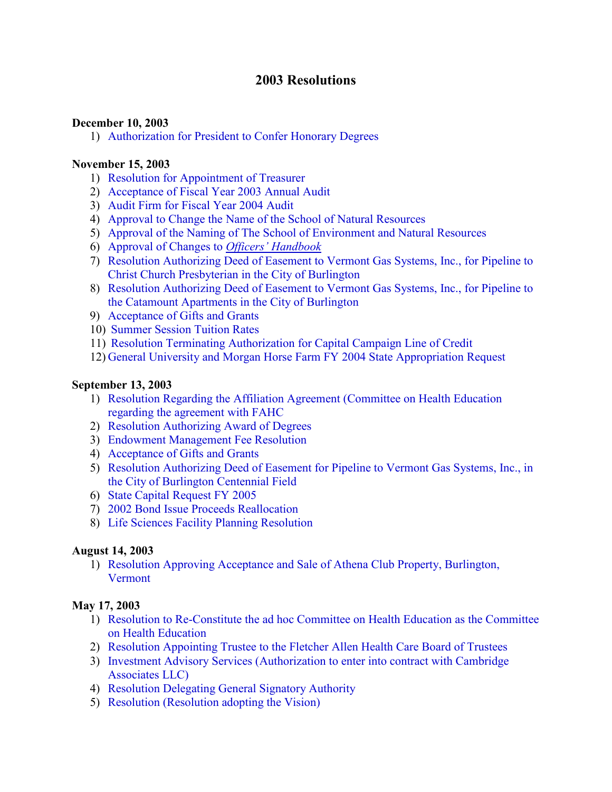## **2003 Resolutions**

#### **December 10, 2003**

1) [Authorization for President to Confer Honorary Degrees](#page-3-0)

#### **November 15, 2003**

- 1) [Resolution for Appointment of Treasurer](#page-4-0)
- 2) [Acceptance of Fiscal Year 2003 Annual Audit](#page-4-0)
- 3) [Audit Firm for Fiscal Year 2004 Audit](#page-4-0)
- 4) [Approval to Change the Name of the School of Natural Resources](#page-5-0)
- 5) [Approval of the Naming of The School of Environment and Natural Resources](#page-5-0)
- 6) [Approval of Changes to](#page-5-0) *Officers' Handbook*
- 7) [Resolution Authorizing Deed of Easement to Vermont Gas Systems, Inc., for Pipeline to](#page-5-0)  Christ Church Presbyterian in the City of Burlington
- 8) [Resolution Authorizing Deed of Easement to Vermont Gas Systems, Inc., for Pipeline to](#page-6-0)  the Catamount Apartments in the City of Burlington
- 9) [Acceptance of Gifts and Grants](#page-6-0)
- 10) [Summer Session Tuition Rates](#page-6-0)
- 11) [Resolution Terminating Authorization for Capital Campaign Line of Credit](#page-6-0)
- 12) [General University and Morgan Horse Farm FY 2004 State Appropriation Request](#page-7-0)

#### **September 13, 2003**

- 1) [Resolution Regarding the Affiliation Agreement \(Committee on Health Education](#page-10-0) regarding the agreement with FAHC
- 2) [Resolution Authorizing Award of Degrees](#page-10-0)
- 3) [Endowment Management Fee Resolution](#page-10-0)
- 4) [Acceptance of Gifts and Grants](#page-11-0)
- 5) [Resolution Authorizing Deed of Easement for Pipeline to Vermont Gas Systems, Inc., in](#page-11-0)  the City of Burlington Centennial Field
- 6) [State Capital Request FY 2005](#page-11-0)
- 7) [2002 Bond Issue Proceeds Reallocation](#page-12-0)
- 8) [Life Sciences Facility Planning Resolution](#page-12-0)

#### **August 14, 2003**

1) [Resolution Approving Acceptance and Sale of Athena Club Property, Burlington,](#page-13-0) Vermont

### **May 17, 2003**

- 1) [Resolution to Re-Constitute the ad hoc Committee on Health Education as the Committee](#page-14-0) on Health Education
- 2) [Resolution Appointing Trustee to the Fletcher Allen Health Care Board of Trustees](#page-14-0)
- 3) [Investment Advisory Services \(Authorization to enter into contract with Cambridge](#page-14-0) Associates LLC)
- 4) [Resolution Delegating General Signatory Authority](#page-15-0)
- 5) [Resolution \(Resolution adopting the Vision\)](#page-15-0)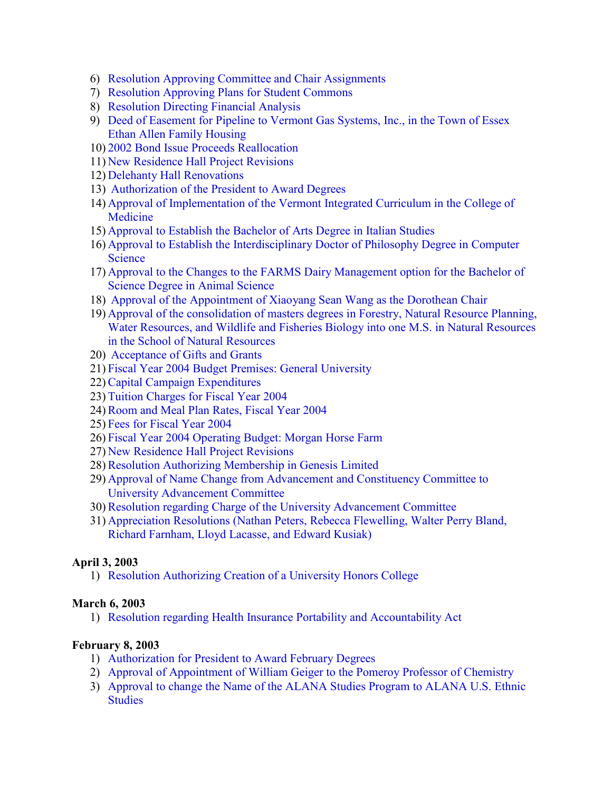- 6) [Resolution Approving Committee and Chair Assignments](#page-16-0)
- 7) [Resolution Approving Plans for Student Commons](#page-16-0)
- 8) [Resolution Directing Financial Analysis](#page-17-0)
- 9) [Deed of Easement for Pipeline to Vermont Gas Systems, Inc., in the Town of Essex](#page-17-0) Ethan Allen Family Housing
- 10) [2002 Bond Issue Proceeds Reallocation](#page-17-0)
- 11) [New Residence Hall Project Revisions](#page-18-0)
- 12) [Delehanty Hall Renovations](#page-18-0)
- 13) [Authorization of the President to Award Degrees](#page-19-0)
- 14) [Approval of Implementation of the Vermont Integrated Curriculum in the College of](#page-19-0)  Medicine
- 15) [Approval to Establish the Bachelor of Arts Degree in Italian Studies](#page-19-0)
- 16) [Approval to Establish the Interdisciplinary Doctor of Philosophy Degree in Computer](#page-19-0)  **Science**
- 17) [Approval to the Changes to the FARMS Dairy Management option for the Bachelor of](#page-19-0)  Science Degree in Animal Science
- 18) [Approval of the Appointment of Xiaoyang Sean Wang as the Dorothean Chair](#page-20-0)
- 19) Approval of the consolidation of masters degrees in Forestry, Natural Resource Planning, [Water Resources, and Wildlife and Fisheries Biology into one M.S. in Natural Resources](#page-20-0)  in the School of Natural Resources
- 20) [Acceptance of Gifts and Grants](#page-20-0)
- 21) [Fiscal Year 2004 Budget Premises: General University](#page-20-0)
- 22)[Capital Campaign Expenditures](#page-20-0)
- 23) [Tuition Charges for Fiscal Year 2004](#page-20-0)
- 24)[Room and Meal Plan Rates, Fiscal Year 2004](#page-21-0)
- 25) [Fees for Fiscal Year 2004](#page-21-0)
- 26) [Fiscal Year 2004 Operating Budget: Morgan Horse Farm](#page-21-0)
- 27) [New Residence Hall Project Revisions](#page-21-0)
- 28)[Resolution Authorizing Membership in Genesis Limited](#page-22-0)
- 29) [Approval of Name Change from Advancement and Constituency Committee to](#page-22-0)  University Advancement Committee
- 30)[Resolution regarding Charge of the University Advancement Committee](#page-23-0)
- 31) [Appreciation Resolutions \(Nathan Peters, Rebecca Flewelling, Walter Perry Bland,](#page-23-0) Richard Farnham, Lloyd Lacasse, and Edward Kusiak)

### **April 3, 2003**

1) [Resolution Authorizing Creation of a University Honors College](#page-29-0)

### **March 6, 2003**

1) [Resolution regarding Health Insurance Portability and Accountability Act](#page-30-0)

### **February 8, 2003**

- 1) [Authorization for President to Award February Degrees](#page-31-0)
- 2) [Approval of Appointment of William Geiger to the Pomeroy Professor of Chemistry](#page-31-0)
- 3) [Approval to change the Name of the ALANA Studies Program to ALANA U.S. Ethnic](#page-31-0) **Studies**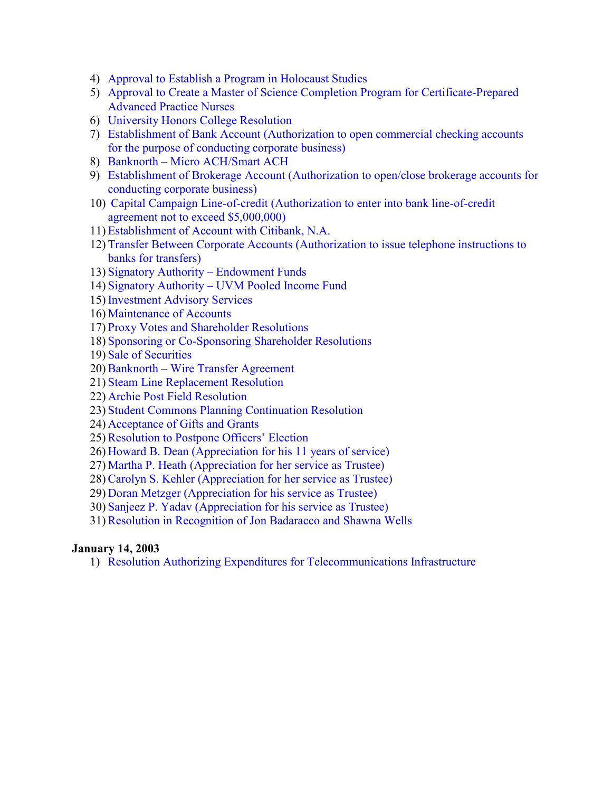- 4) [Approval to Establish a Program in Holocaust Studies](#page-31-0)
- 5) [Approval to Create a Master of Science Completion Program for Certificate-Prepared](#page-31-0) Advanced Practice Nurses
- 6) [University Honors College Resolution](#page-31-0)
- 7) [Establishment of Bank Account \(Authorization to open commercial checking accounts](#page-32-0)  for the purpose of conducting corporate business)
- 8) Banknorth [Micro ACH/Smart ACH](#page-32-0)
- 9) [Establishment of Brokerage Account \(Authorization to open/close brokerage accounts for](#page-33-0)  conducting corporate business)
- 10) [Capital Campaign Line-of-credit \(Authorization to enter into bank line-of-credit](#page-33-0)  agreement not to exceed \$5,000,000)
- 11) [Establishment of Account with Citibank, N.A.](#page-33-0)
- 12) [Transfer Between Corporate Accounts \(Authorization to issue telephone instructions to](#page-34-0)  banks for transfers)
- 13) [Signatory Authority Endowment Funds](#page-34-0)
- 14) [Signatory Authority UVM Pooled Income Fund](#page-35-0)
- 15) [Investment Advisory Services](#page-35-0)
- 16) [Maintenance of Accounts](#page-35-0)
- 17) [Proxy Votes and Shareholder Resolutions](#page-36-0)
- 18) [Sponsoring or Co-Sponsoring Shareholder Resolutions](#page-36-0)
- 19) [Sale of Securities](#page-36-0)
- 20)Banknorth [Wire Transfer Agreement](#page-36-0)
- 21) [Steam Line Replacement Resolution](#page-37-0)
- 22) [Archie Post Field Resolution](#page-37-0)
- 23) [Student Commons Planning Continuation Resolution](#page-38-0)
- 24) [Acceptance of Gifts and Grants](#page-38-0)
- 25)[Resolution to Postpone Officers' Election](#page-39-0)
- 26) [Howard B. Dean \(Appreciation for his 11 years of service\)](#page-39-0)
- 27) [Martha P. Heath \(Appreciation for her service as Trustee\)](#page-39-0)
- 28)[Carolyn S. Kehler \(Appreciation for her service as Trustee\)](#page-39-0)
- 29) [Doran Metzger \(Appreciation for his service as Trustee\)](#page-40-0)
- 30) [Sanjeez P. Yadav \(Appreciation for his service as Trustee\)](#page-40-0)
- 31)[Resolution in Recognition of Jon Badaracco and Shawna Wells](#page-40-0)

#### **January 14, 2003**

1) [Resolution Authorizing Expenditures for Telecommunications Infrastructure](#page-42-0)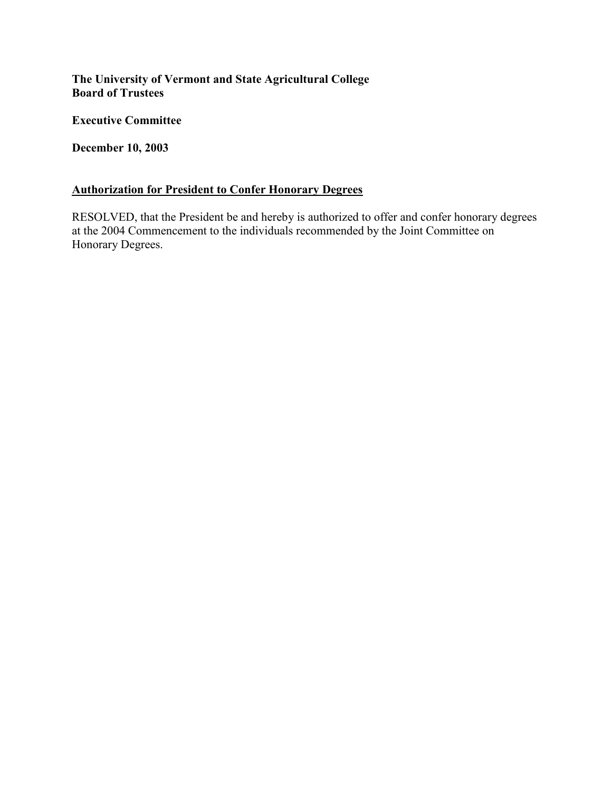<span id="page-3-0"></span>**The University of Vermont and State Agricultural College Board of Trustees** 

**Executive Committee** 

**December 10, 2003** 

## **Authorization for President to Confer Honorary Degrees**

RESOLVED, that the President be and hereby is authorized to offer and confer honorary degrees at the 2004 Commencement to the individuals recommended by the Joint Committee on Honorary Degrees.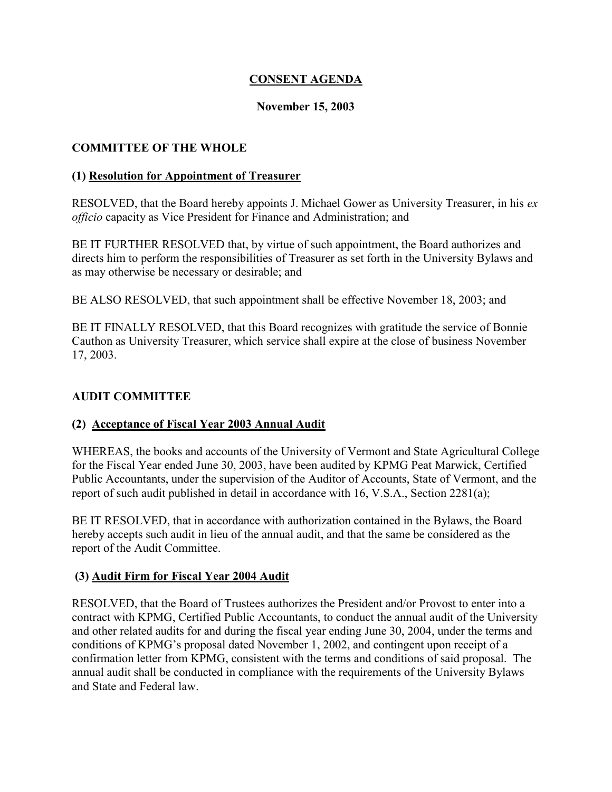### **CONSENT AGENDA**

#### **November 15, 2003**

### <span id="page-4-0"></span>**COMMITTEE OF THE WHOLE**

#### **(1) Resolution for Appointment of Treasurer**

RESOLVED, that the Board hereby appoints J. Michael Gower as University Treasurer, in his *ex officio* capacity as Vice President for Finance and Administration; and

BE IT FURTHER RESOLVED that, by virtue of such appointment, the Board authorizes and directs him to perform the responsibilities of Treasurer as set forth in the University Bylaws and as may otherwise be necessary or desirable; and

BE ALSO RESOLVED, that such appointment shall be effective November 18, 2003; and

BE IT FINALLY RESOLVED, that this Board recognizes with gratitude the service of Bonnie Cauthon as University Treasurer, which service shall expire at the close of business November 17, 2003.

#### **AUDIT COMMITTEE**

### **(2) Acceptance of Fiscal Year 2003 Annual Audit**

WHEREAS, the books and accounts of the University of Vermont and State Agricultural College for the Fiscal Year ended June 30, 2003, have been audited by KPMG Peat Marwick, Certified Public Accountants, under the supervision of the Auditor of Accounts, State of Vermont, and the report of such audit published in detail in accordance with 16, V.S.A., Section 2281(a);

BE IT RESOLVED, that in accordance with authorization contained in the Bylaws, the Board hereby accepts such audit in lieu of the annual audit, and that the same be considered as the report of the Audit Committee.

### **(3) Audit Firm for Fiscal Year 2004 Audit**

RESOLVED, that the Board of Trustees authorizes the President and/or Provost to enter into a contract with KPMG, Certified Public Accountants, to conduct the annual audit of the University and other related audits for and during the fiscal year ending June 30, 2004, under the terms and conditions of KPMG's proposal dated November 1, 2002, and contingent upon receipt of a confirmation letter from KPMG, consistent with the terms and conditions of said proposal. The annual audit shall be conducted in compliance with the requirements of the University Bylaws and State and Federal law.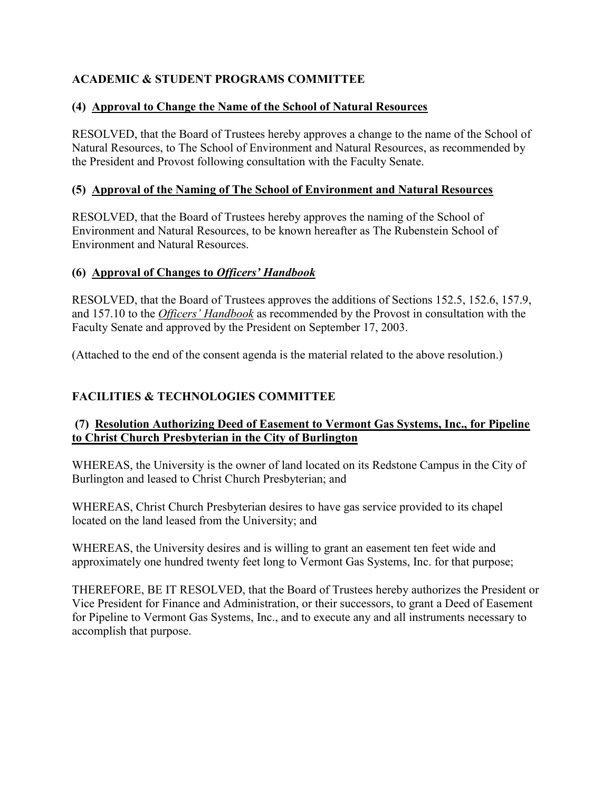## <span id="page-5-0"></span>**ACADEMIC & STUDENT PROGRAMS COMMITTEE**

### **(4) Approval to Change the Name of the School of Natural Resources**

RESOLVED, that the Board of Trustees hereby approves a change to the name of the School of Natural Resources, to The School of Environment and Natural Resources, as recommended by the President and Provost following consultation with the Faculty Senate.

### **(5) Approval of the Naming of The School of Environment and Natural Resources**

RESOLVED, that the Board of Trustees hereby approves the naming of the School of Environment and Natural Resources, to be known hereafter as The Rubenstein School of Environment and Natural Resources.

### **(6) Approval of Changes to** *Officers' Handbook*

RESOLVED, that the Board of Trustees approves the additions of Sections 152.5, 152.6, 157.9, and 157.10 to the *Officers' Handbook* as recommended by the Provost in consultation with the Faculty Senate and approved by the President on September 17, 2003.

(Attached to the end of the consent agenda is the material related to the above resolution.)

### **FACILITIES & TECHNOLOGIES COMMITTEE**

### **(7) Resolution Authorizing Deed of Easement to Vermont Gas Systems, Inc., for Pipeline to Christ Church Presbyterian in the City of Burlington**

WHEREAS, the University is the owner of land located on its Redstone Campus in the City of Burlington and leased to Christ Church Presbyterian; and

WHEREAS, Christ Church Presbyterian desires to have gas service provided to its chapel located on the land leased from the University; and

WHEREAS, the University desires and is willing to grant an easement ten feet wide and approximately one hundred twenty feet long to Vermont Gas Systems, Inc. for that purpose;

THEREFORE, BE IT RESOLVED, that the Board of Trustees hereby authorizes the President or Vice President for Finance and Administration, or their successors, to grant a Deed of Easement for Pipeline to Vermont Gas Systems, Inc., and to execute any and all instruments necessary to accomplish that purpose.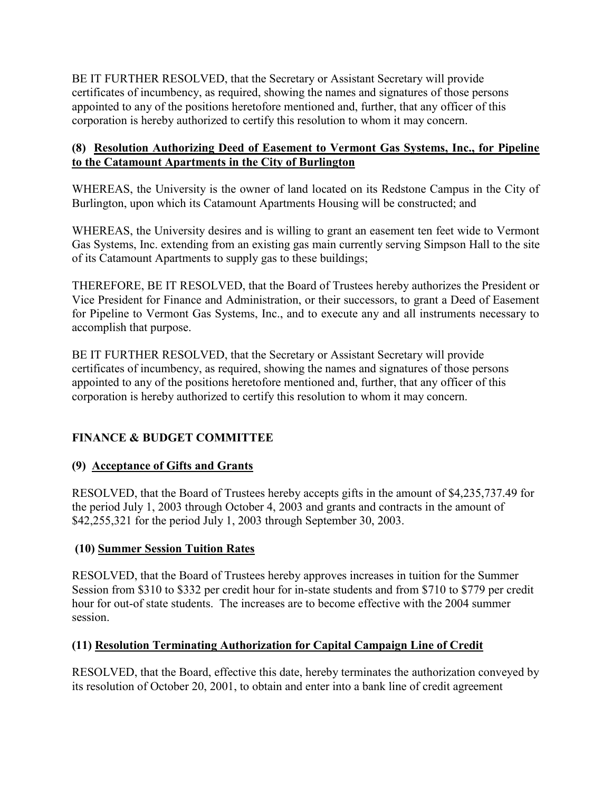<span id="page-6-0"></span>BE IT FURTHER RESOLVED, that the Secretary or Assistant Secretary will provide certificates of incumbency, as required, showing the names and signatures of those persons appointed to any of the positions heretofore mentioned and, further, that any officer of this corporation is hereby authorized to certify this resolution to whom it may concern.

### **(8) Resolution Authorizing Deed of Easement to Vermont Gas Systems, Inc., for Pipeline to the Catamount Apartments in the City of Burlington**

WHEREAS, the University is the owner of land located on its Redstone Campus in the City of Burlington, upon which its Catamount Apartments Housing will be constructed; and

WHEREAS, the University desires and is willing to grant an easement ten feet wide to Vermont Gas Systems, Inc. extending from an existing gas main currently serving Simpson Hall to the site of its Catamount Apartments to supply gas to these buildings;

THEREFORE, BE IT RESOLVED, that the Board of Trustees hereby authorizes the President or Vice President for Finance and Administration, or their successors, to grant a Deed of Easement for Pipeline to Vermont Gas Systems, Inc., and to execute any and all instruments necessary to accomplish that purpose.

BE IT FURTHER RESOLVED, that the Secretary or Assistant Secretary will provide certificates of incumbency, as required, showing the names and signatures of those persons appointed to any of the positions heretofore mentioned and, further, that any officer of this corporation is hereby authorized to certify this resolution to whom it may concern.

# **FINANCE & BUDGET COMMITTEE**

# **(9) Acceptance of Gifts and Grants**

RESOLVED, that the Board of Trustees hereby accepts gifts in the amount of \$4,235,737.49 for the period July 1, 2003 through October 4, 2003 and grants and contracts in the amount of \$42,255,321 for the period July 1, 2003 through September 30, 2003.

### **(10) Summer Session Tuition Rates**

RESOLVED, that the Board of Trustees hereby approves increases in tuition for the Summer Session from \$310 to \$332 per credit hour for in-state students and from \$710 to \$779 per credit hour for out-of state students. The increases are to become effective with the 2004 summer session.

### **(11) Resolution Terminating Authorization for Capital Campaign Line of Credit**

RESOLVED, that the Board, effective this date, hereby terminates the authorization conveyed by its resolution of October 20, 2001, to obtain and enter into a bank line of credit agreement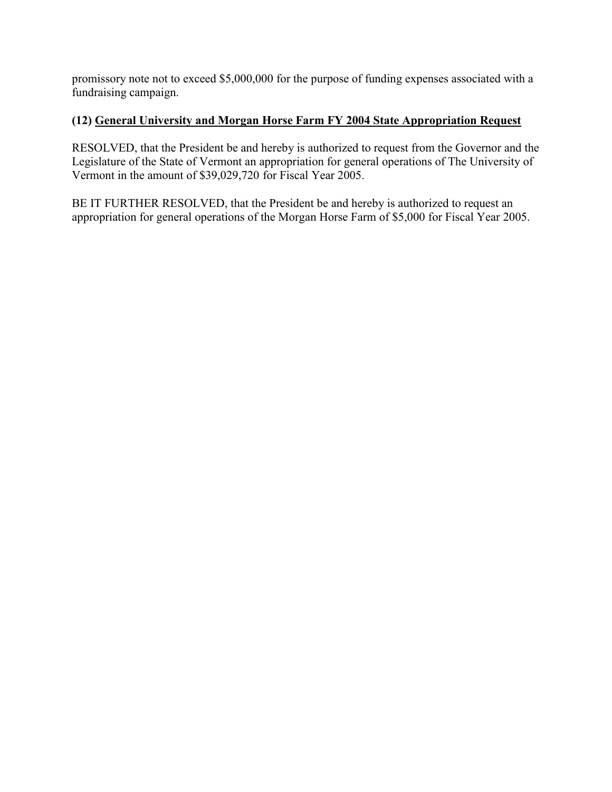<span id="page-7-0"></span>promissory note not to exceed \$5,000,000 for the purpose of funding expenses associated with a fundraising campaign.

### **(12) General University and Morgan Horse Farm FY 2004 State Appropriation Request**

RESOLVED, that the President be and hereby is authorized to request from the Governor and the Legislature of the State of Vermont an appropriation for general operations of The University of Vermont in the amount of \$39,029,720 for Fiscal Year 2005.

BE IT FURTHER RESOLVED, that the President be and hereby is authorized to request an appropriation for general operations of the Morgan Horse Farm of \$5,000 for Fiscal Year 2005.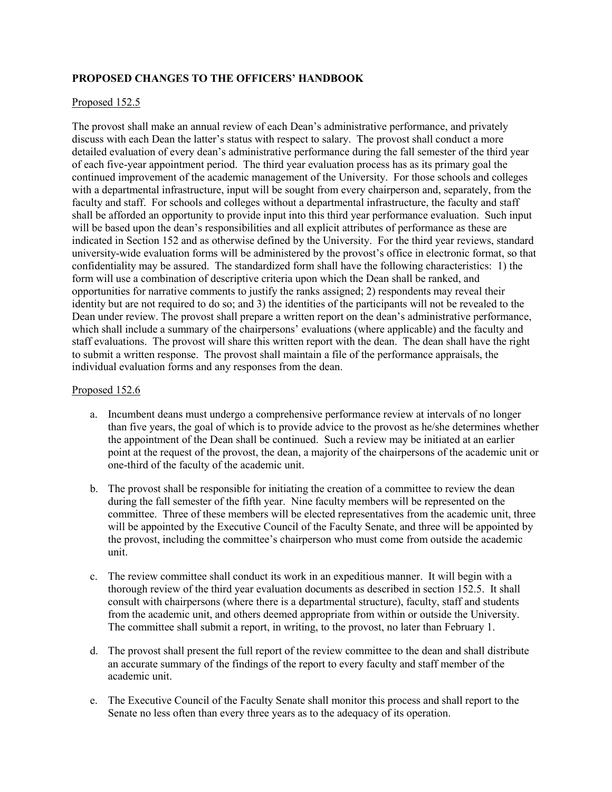#### **PROPOSED CHANGES TO THE OFFICERS' HANDBOOK**

#### Proposed 152.5

The provost shall make an annual review of each Dean's administrative performance, and privately discuss with each Dean the latter's status with respect to salary. The provost shall conduct a more detailed evaluation of every dean's administrative performance during the fall semester of the third year of each five-year appointment period. The third year evaluation process has as its primary goal the continued improvement of the academic management of the University. For those schools and colleges with a departmental infrastructure, input will be sought from every chairperson and, separately, from the faculty and staff. For schools and colleges without a departmental infrastructure, the faculty and staff shall be afforded an opportunity to provide input into this third year performance evaluation. Such input will be based upon the dean's responsibilities and all explicit attributes of performance as these are indicated in Section 152 and as otherwise defined by the University. For the third year reviews, standard university-wide evaluation forms will be administered by the provost's office in electronic format, so that confidentiality may be assured. The standardized form shall have the following characteristics: 1) the form will use a combination of descriptive criteria upon which the Dean shall be ranked, and opportunities for narrative comments to justify the ranks assigned; 2) respondents may reveal their identity but are not required to do so; and 3) the identities of the participants will not be revealed to the Dean under review. The provost shall prepare a written report on the dean's administrative performance, which shall include a summary of the chairpersons' evaluations (where applicable) and the faculty and staff evaluations. The provost will share this written report with the dean. The dean shall have the right to submit a written response. The provost shall maintain a file of the performance appraisals, the individual evaluation forms and any responses from the dean.

#### Proposed 152.6

- a. Incumbent deans must undergo a comprehensive performance review at intervals of no longer than five years, the goal of which is to provide advice to the provost as he/she determines whether the appointment of the Dean shall be continued. Such a review may be initiated at an earlier point at the request of the provost, the dean, a majority of the chairpersons of the academic unit or one-third of the faculty of the academic unit.
- b. The provost shall be responsible for initiating the creation of a committee to review the dean during the fall semester of the fifth year. Nine faculty members will be represented on the committee. Three of these members will be elected representatives from the academic unit, three will be appointed by the Executive Council of the Faculty Senate, and three will be appointed by the provost, including the committee's chairperson who must come from outside the academic unit.
- c. The review committee shall conduct its work in an expeditious manner. It will begin with a thorough review of the third year evaluation documents as described in section 152.5. It shall consult with chairpersons (where there is a departmental structure), faculty, staff and students from the academic unit, and others deemed appropriate from within or outside the University. The committee shall submit a report, in writing, to the provost, no later than February 1.
- d. The provost shall present the full report of the review committee to the dean and shall distribute an accurate summary of the findings of the report to every faculty and staff member of the academic unit.
- e. The Executive Council of the Faculty Senate shall monitor this process and shall report to the Senate no less often than every three years as to the adequacy of its operation.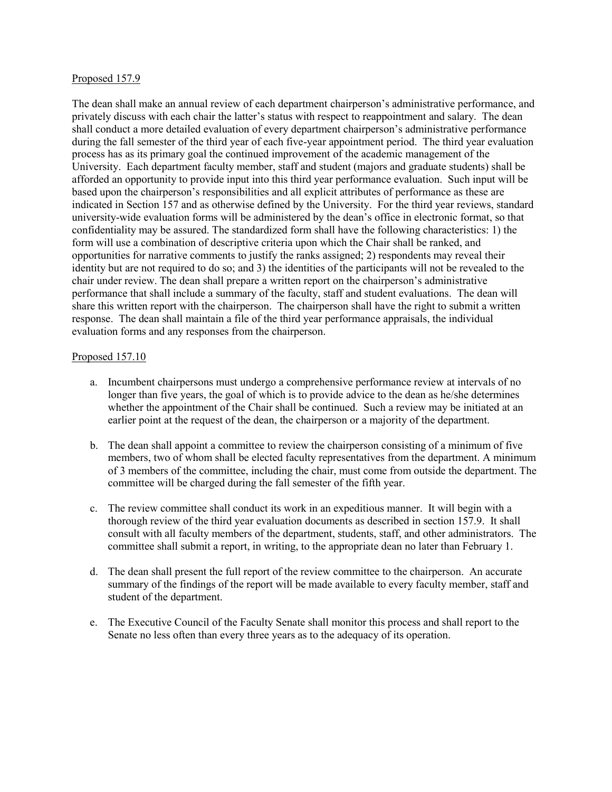#### Proposed 157.9

The dean shall make an annual review of each department chairperson's administrative performance, and privately discuss with each chair the latter's status with respect to reappointment and salary. The dean shall conduct a more detailed evaluation of every department chairperson's administrative performance during the fall semester of the third year of each five-year appointment period. The third year evaluation process has as its primary goal the continued improvement of the academic management of the University. Each department faculty member, staff and student (majors and graduate students) shall be afforded an opportunity to provide input into this third year performance evaluation. Such input will be based upon the chairperson's responsibilities and all explicit attributes of performance as these are indicated in Section 157 and as otherwise defined by the University. For the third year reviews, standard university-wide evaluation forms will be administered by the dean's office in electronic format, so that confidentiality may be assured. The standardized form shall have the following characteristics: 1) the form will use a combination of descriptive criteria upon which the Chair shall be ranked, and opportunities for narrative comments to justify the ranks assigned; 2) respondents may reveal their identity but are not required to do so; and 3) the identities of the participants will not be revealed to the chair under review. The dean shall prepare a written report on the chairperson's administrative performance that shall include a summary of the faculty, staff and student evaluations. The dean will share this written report with the chairperson. The chairperson shall have the right to submit a written response. The dean shall maintain a file of the third year performance appraisals, the individual evaluation forms and any responses from the chairperson.

#### Proposed 157.10

- a. Incumbent chairpersons must undergo a comprehensive performance review at intervals of no longer than five years, the goal of which is to provide advice to the dean as he/she determines whether the appointment of the Chair shall be continued. Such a review may be initiated at an earlier point at the request of the dean, the chairperson or a majority of the department.
- b. The dean shall appoint a committee to review the chairperson consisting of a minimum of five members, two of whom shall be elected faculty representatives from the department. A minimum of 3 members of the committee, including the chair, must come from outside the department. The committee will be charged during the fall semester of the fifth year.
- c. The review committee shall conduct its work in an expeditious manner. It will begin with a thorough review of the third year evaluation documents as described in section 157.9. It shall consult with all faculty members of the department, students, staff, and other administrators. The committee shall submit a report, in writing, to the appropriate dean no later than February 1.
- d. The dean shall present the full report of the review committee to the chairperson. An accurate summary of the findings of the report will be made available to every faculty member, staff and student of the department.
- e. The Executive Council of the Faculty Senate shall monitor this process and shall report to the Senate no less often than every three years as to the adequacy of its operation.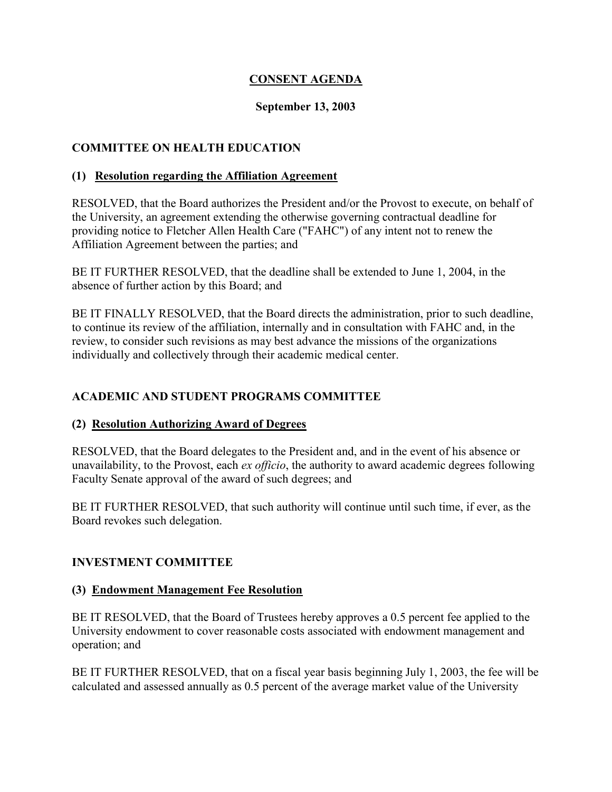### **CONSENT AGENDA**

### **September 13, 2003**

### <span id="page-10-0"></span>**COMMITTEE ON HEALTH EDUCATION**

#### **(1) Resolution regarding the Affiliation Agreement**

RESOLVED, that the Board authorizes the President and/or the Provost to execute, on behalf of the University, an agreement extending the otherwise governing contractual deadline for providing notice to Fletcher Allen Health Care ("FAHC") of any intent not to renew the Affiliation Agreement between the parties; and

BE IT FURTHER RESOLVED, that the deadline shall be extended to June 1, 2004, in the absence of further action by this Board; and

BE IT FINALLY RESOLVED, that the Board directs the administration, prior to such deadline, to continue its review of the affiliation, internally and in consultation with FAHC and, in the review, to consider such revisions as may best advance the missions of the organizations individually and collectively through their academic medical center.

### **ACADEMIC AND STUDENT PROGRAMS COMMITTEE**

### **(2) Resolution Authorizing Award of Degrees**

RESOLVED, that the Board delegates to the President and, and in the event of his absence or unavailability, to the Provost, each *ex officio*, the authority to award academic degrees following Faculty Senate approval of the award of such degrees; and

BE IT FURTHER RESOLVED, that such authority will continue until such time, if ever, as the Board revokes such delegation.

### **INVESTMENT COMMITTEE**

#### **(3) Endowment Management Fee Resolution**

BE IT RESOLVED, that the Board of Trustees hereby approves a 0.5 percent fee applied to the University endowment to cover reasonable costs associated with endowment management and operation; and

BE IT FURTHER RESOLVED, that on a fiscal year basis beginning July 1, 2003, the fee will be calculated and assessed annually as 0.5 percent of the average market value of the University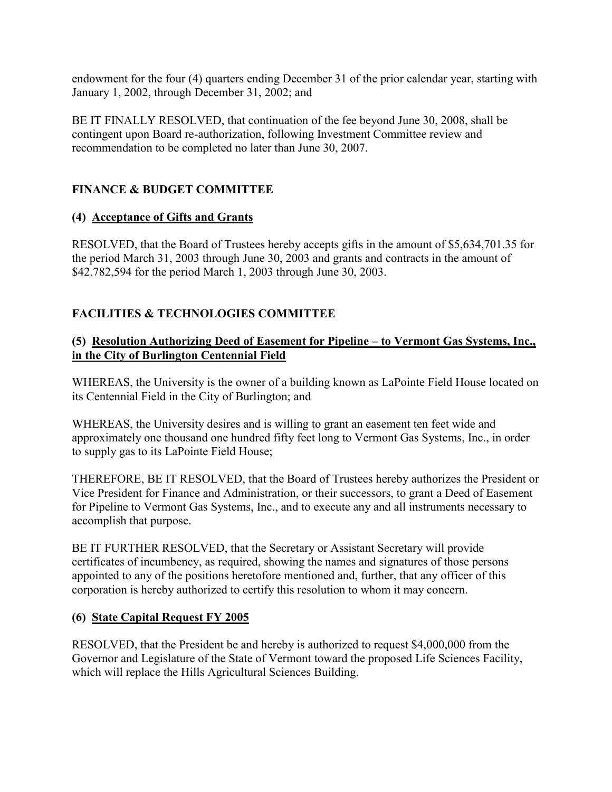<span id="page-11-0"></span>endowment for the four (4) quarters ending December 31 of the prior calendar year, starting with January 1, 2002, through December 31, 2002; and

BE IT FINALLY RESOLVED, that continuation of the fee beyond June 30, 2008, shall be contingent upon Board re-authorization, following Investment Committee review and recommendation to be completed no later than June 30, 2007.

# **FINANCE & BUDGET COMMITTEE**

## **(4) Acceptance of Gifts and Grants**

RESOLVED, that the Board of Trustees hereby accepts gifts in the amount of \$5,634,701.35 for the period March 31, 2003 through June 30, 2003 and grants and contracts in the amount of \$42,782,594 for the period March 1, 2003 through June 30, 2003.

# **FACILITIES & TECHNOLOGIES COMMITTEE**

### **(5) Resolution Authorizing Deed of Easement for Pipeline – to Vermont Gas Systems, Inc., in the City of Burlington Centennial Field**

WHEREAS, the University is the owner of a building known as LaPointe Field House located on its Centennial Field in the City of Burlington; and

WHEREAS, the University desires and is willing to grant an easement ten feet wide and approximately one thousand one hundred fifty feet long to Vermont Gas Systems, Inc., in order to supply gas to its LaPointe Field House;

THEREFORE, BE IT RESOLVED, that the Board of Trustees hereby authorizes the President or Vice President for Finance and Administration, or their successors, to grant a Deed of Easement for Pipeline to Vermont Gas Systems, Inc., and to execute any and all instruments necessary to accomplish that purpose.

BE IT FURTHER RESOLVED, that the Secretary or Assistant Secretary will provide certificates of incumbency, as required, showing the names and signatures of those persons appointed to any of the positions heretofore mentioned and, further, that any officer of this corporation is hereby authorized to certify this resolution to whom it may concern.

# **(6) State Capital Request FY 2005**

RESOLVED, that the President be and hereby is authorized to request \$4,000,000 from the Governor and Legislature of the State of Vermont toward the proposed Life Sciences Facility, which will replace the Hills Agricultural Sciences Building.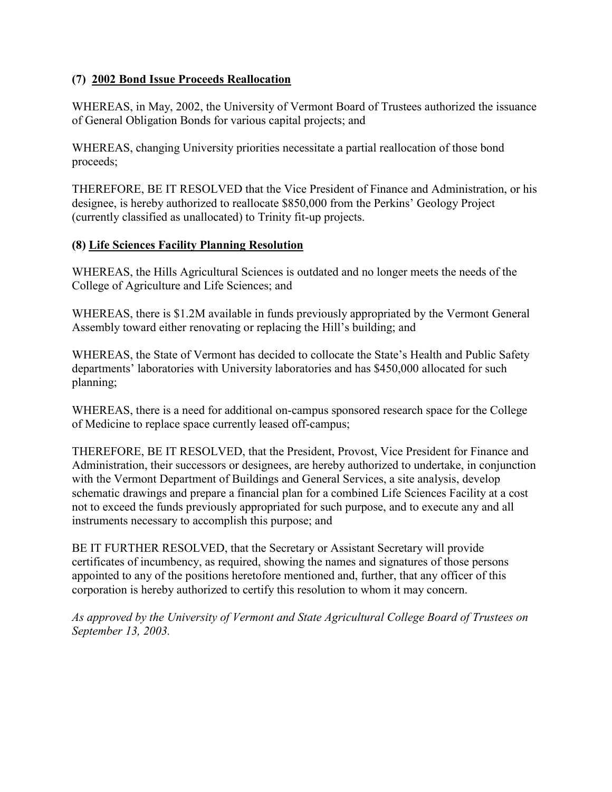### <span id="page-12-0"></span>**(7) 2002 Bond Issue Proceeds Reallocation**

WHEREAS, in May, 2002, the University of Vermont Board of Trustees authorized the issuance of General Obligation Bonds for various capital projects; and

WHEREAS, changing University priorities necessitate a partial reallocation of those bond proceeds;

THEREFORE, BE IT RESOLVED that the Vice President of Finance and Administration, or his designee, is hereby authorized to reallocate \$850,000 from the Perkins' Geology Project (currently classified as unallocated) to Trinity fit-up projects.

### **(8) Life Sciences Facility Planning Resolution**

WHEREAS, the Hills Agricultural Sciences is outdated and no longer meets the needs of the College of Agriculture and Life Sciences; and

WHEREAS, there is \$1.2M available in funds previously appropriated by the Vermont General Assembly toward either renovating or replacing the Hill's building; and

WHEREAS, the State of Vermont has decided to collocate the State's Health and Public Safety departments' laboratories with University laboratories and has \$450,000 allocated for such planning;

WHEREAS, there is a need for additional on-campus sponsored research space for the College of Medicine to replace space currently leased off-campus;

THEREFORE, BE IT RESOLVED, that the President, Provost, Vice President for Finance and Administration, their successors or designees, are hereby authorized to undertake, in conjunction with the Vermont Department of Buildings and General Services, a site analysis, develop schematic drawings and prepare a financial plan for a combined Life Sciences Facility at a cost not to exceed the funds previously appropriated for such purpose, and to execute any and all instruments necessary to accomplish this purpose; and

BE IT FURTHER RESOLVED, that the Secretary or Assistant Secretary will provide certificates of incumbency, as required, showing the names and signatures of those persons appointed to any of the positions heretofore mentioned and, further, that any officer of this corporation is hereby authorized to certify this resolution to whom it may concern.

*As approved by the University of Vermont and State Agricultural College Board of Trustees on September 13, 2003.*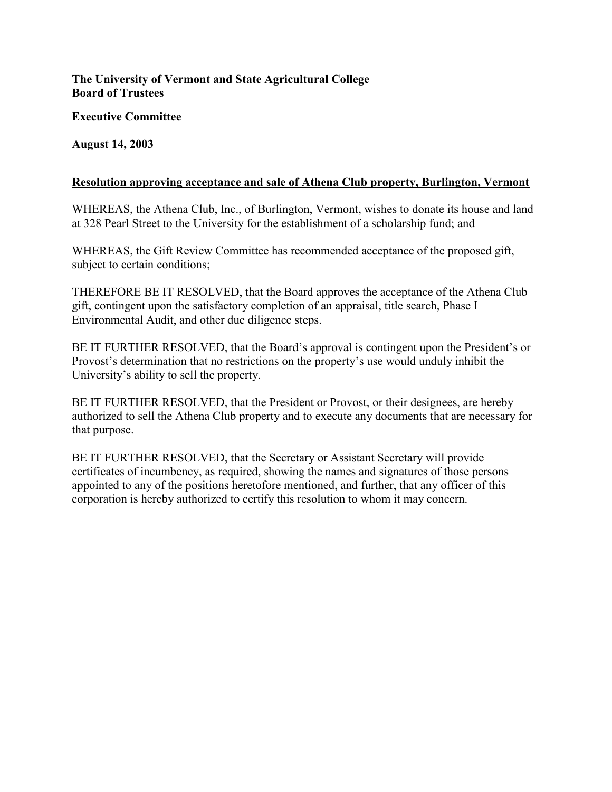### <span id="page-13-0"></span>**The University of Vermont and State Agricultural College Board of Trustees**

**Executive Committee** 

**August 14, 2003** 

#### **Resolution approving acceptance and sale of Athena Club property, Burlington, Vermont**

WHEREAS, the Athena Club, Inc., of Burlington, Vermont, wishes to donate its house and land at 328 Pearl Street to the University for the establishment of a scholarship fund; and

WHEREAS, the Gift Review Committee has recommended acceptance of the proposed gift, subject to certain conditions;

THEREFORE BE IT RESOLVED, that the Board approves the acceptance of the Athena Club gift, contingent upon the satisfactory completion of an appraisal, title search, Phase I Environmental Audit, and other due diligence steps.

BE IT FURTHER RESOLVED, that the Board's approval is contingent upon the President's or Provost's determination that no restrictions on the property's use would unduly inhibit the University's ability to sell the property.

BE IT FURTHER RESOLVED, that the President or Provost, or their designees, are hereby authorized to sell the Athena Club property and to execute any documents that are necessary for that purpose.

BE IT FURTHER RESOLVED, that the Secretary or Assistant Secretary will provide certificates of incumbency, as required, showing the names and signatures of those persons appointed to any of the positions heretofore mentioned, and further, that any officer of this corporation is hereby authorized to certify this resolution to whom it may concern.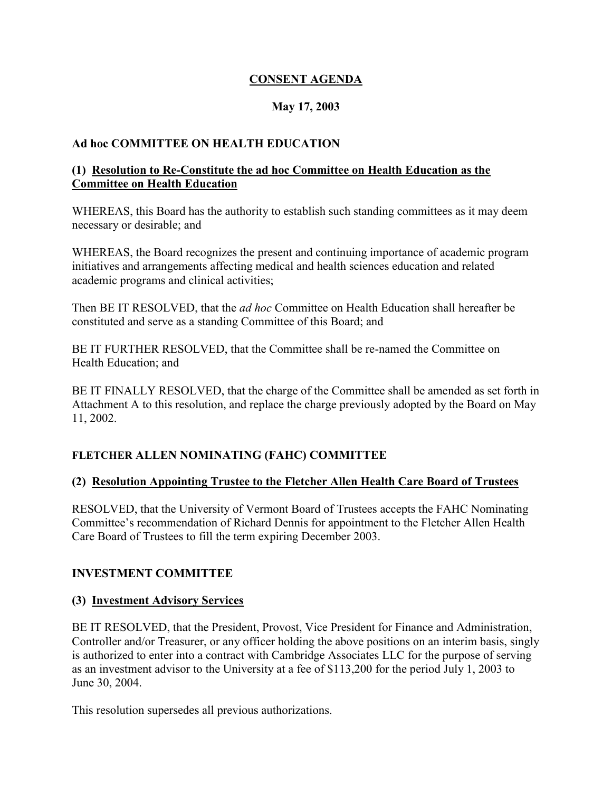### **CONSENT AGENDA**

### **May 17, 2003**

### <span id="page-14-0"></span>**Ad hoc COMMITTEE ON HEALTH EDUCATION**

#### **(1) Resolution to Re-Constitute the ad hoc Committee on Health Education as the Committee on Health Education**

WHEREAS, this Board has the authority to establish such standing committees as it may deem necessary or desirable; and

WHEREAS, the Board recognizes the present and continuing importance of academic program initiatives and arrangements affecting medical and health sciences education and related academic programs and clinical activities;

Then BE IT RESOLVED, that the *ad hoc* Committee on Health Education shall hereafter be constituted and serve as a standing Committee of this Board; and

BE IT FURTHER RESOLVED, that the Committee shall be re-named the Committee on Health Education; and

BE IT FINALLY RESOLVED, that the charge of the Committee shall be amended as set forth in Attachment A to this resolution, and replace the charge previously adopted by the Board on May 11, 2002.

### **FLETCHER ALLEN NOMINATING (FAHC) COMMITTEE**

### **(2) Resolution Appointing Trustee to the Fletcher Allen Health Care Board of Trustees**

RESOLVED, that the University of Vermont Board of Trustees accepts the FAHC Nominating Committee's recommendation of Richard Dennis for appointment to the Fletcher Allen Health Care Board of Trustees to fill the term expiring December 2003.

### **INVESTMENT COMMITTEE**

### **(3) Investment Advisory Services**

BE IT RESOLVED, that the President, Provost, Vice President for Finance and Administration, Controller and/or Treasurer, or any officer holding the above positions on an interim basis, singly is authorized to enter into a contract with Cambridge Associates LLC for the purpose of serving as an investment advisor to the University at a fee of \$113,200 for the period July 1, 2003 to June 30, 2004.

This resolution supersedes all previous authorizations.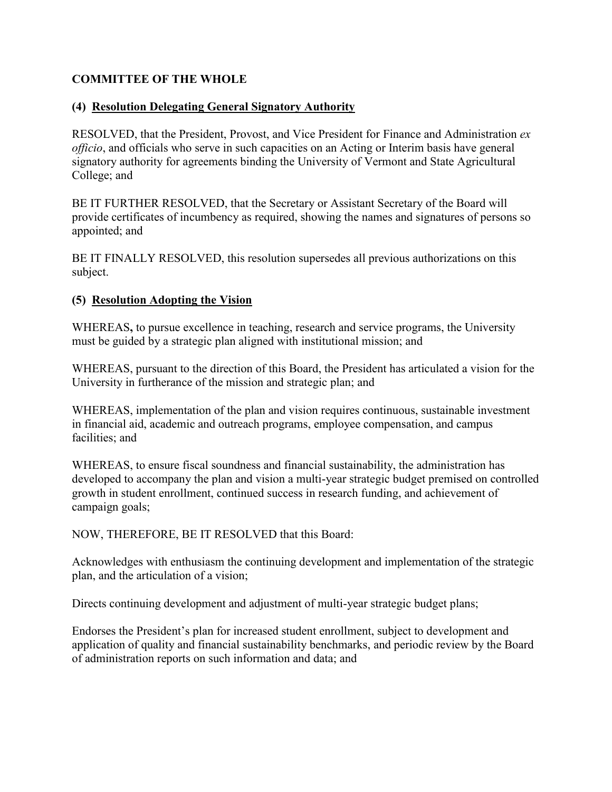### <span id="page-15-0"></span>**COMMITTEE OF THE WHOLE**

### **(4) Resolution Delegating General Signatory Authority**

RESOLVED, that the President, Provost, and Vice President for Finance and Administration *ex officio*, and officials who serve in such capacities on an Acting or Interim basis have general signatory authority for agreements binding the University of Vermont and State Agricultural College; and

BE IT FURTHER RESOLVED, that the Secretary or Assistant Secretary of the Board will provide certificates of incumbency as required, showing the names and signatures of persons so appointed; and

BE IT FINALLY RESOLVED, this resolution supersedes all previous authorizations on this subject.

### **(5) Resolution Adopting the Vision**

WHEREAS**,** to pursue excellence in teaching, research and service programs, the University must be guided by a strategic plan aligned with institutional mission; and

WHEREAS, pursuant to the direction of this Board, the President has articulated a vision for the University in furtherance of the mission and strategic plan; and

WHEREAS, implementation of the plan and vision requires continuous, sustainable investment in financial aid, academic and outreach programs, employee compensation, and campus facilities; and

WHEREAS, to ensure fiscal soundness and financial sustainability, the administration has developed to accompany the plan and vision a multi-year strategic budget premised on controlled growth in student enrollment, continued success in research funding, and achievement of campaign goals;

NOW, THEREFORE, BE IT RESOLVED that this Board:

Acknowledges with enthusiasm the continuing development and implementation of the strategic plan, and the articulation of a vision;

Directs continuing development and adjustment of multi-year strategic budget plans;

Endorses the President's plan for increased student enrollment, subject to development and application of quality and financial sustainability benchmarks, and periodic review by the Board of administration reports on such information and data; and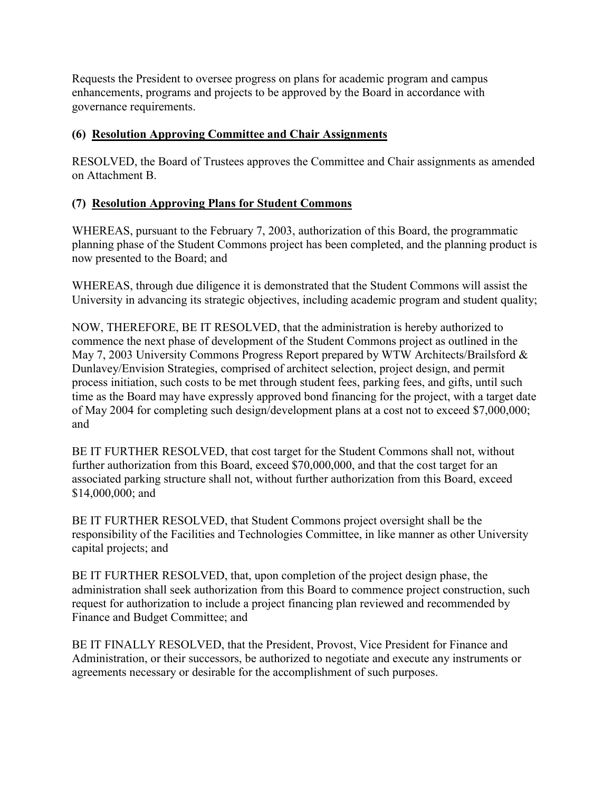<span id="page-16-0"></span>Requests the President to oversee progress on plans for academic program and campus enhancements, programs and projects to be approved by the Board in accordance with governance requirements.

### **(6) Resolution Approving Committee and Chair Assignments**

RESOLVED, the Board of Trustees approves the Committee and Chair assignments as amended on Attachment B.

### **(7) Resolution Approving Plans for Student Commons**

WHEREAS, pursuant to the February 7, 2003, authorization of this Board, the programmatic planning phase of the Student Commons project has been completed, and the planning product is now presented to the Board; and

WHEREAS, through due diligence it is demonstrated that the Student Commons will assist the University in advancing its strategic objectives, including academic program and student quality;

NOW, THEREFORE, BE IT RESOLVED, that the administration is hereby authorized to commence the next phase of development of the Student Commons project as outlined in the May 7, 2003 University Commons Progress Report prepared by WTW Architects/Brailsford & Dunlavey/Envision Strategies, comprised of architect selection, project design, and permit process initiation, such costs to be met through student fees, parking fees, and gifts, until such time as the Board may have expressly approved bond financing for the project, with a target date of May 2004 for completing such design/development plans at a cost not to exceed \$7,000,000; and

BE IT FURTHER RESOLVED, that cost target for the Student Commons shall not, without further authorization from this Board, exceed \$70,000,000, and that the cost target for an associated parking structure shall not, without further authorization from this Board, exceed \$14,000,000; and

BE IT FURTHER RESOLVED, that Student Commons project oversight shall be the responsibility of the Facilities and Technologies Committee, in like manner as other University capital projects; and

BE IT FURTHER RESOLVED, that, upon completion of the project design phase, the administration shall seek authorization from this Board to commence project construction, such request for authorization to include a project financing plan reviewed and recommended by Finance and Budget Committee; and

BE IT FINALLY RESOLVED, that the President, Provost, Vice President for Finance and Administration, or their successors, be authorized to negotiate and execute any instruments or agreements necessary or desirable for the accomplishment of such purposes.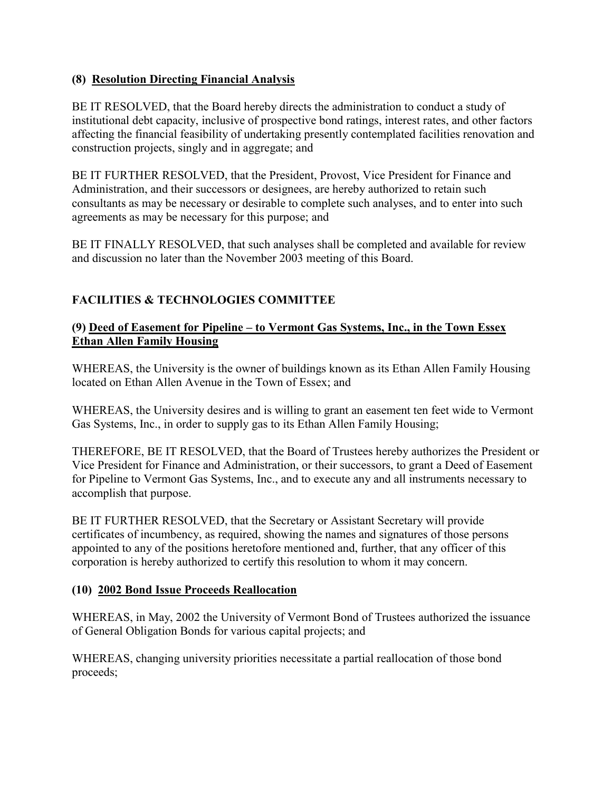### <span id="page-17-0"></span>**(8) Resolution Directing Financial Analysis**

BE IT RESOLVED, that the Board hereby directs the administration to conduct a study of institutional debt capacity, inclusive of prospective bond ratings, interest rates, and other factors affecting the financial feasibility of undertaking presently contemplated facilities renovation and construction projects, singly and in aggregate; and

BE IT FURTHER RESOLVED, that the President, Provost, Vice President for Finance and Administration, and their successors or designees, are hereby authorized to retain such consultants as may be necessary or desirable to complete such analyses, and to enter into such agreements as may be necessary for this purpose; and

BE IT FINALLY RESOLVED, that such analyses shall be completed and available for review and discussion no later than the November 2003 meeting of this Board.

# **FACILITIES & TECHNOLOGIES COMMITTEE**

### **(9) Deed of Easement for Pipeline – to Vermont Gas Systems, Inc., in the Town Essex Ethan Allen Family Housing**

WHEREAS, the University is the owner of buildings known as its Ethan Allen Family Housing located on Ethan Allen Avenue in the Town of Essex; and

WHEREAS, the University desires and is willing to grant an easement ten feet wide to Vermont Gas Systems, Inc., in order to supply gas to its Ethan Allen Family Housing;

THEREFORE, BE IT RESOLVED, that the Board of Trustees hereby authorizes the President or Vice President for Finance and Administration, or their successors, to grant a Deed of Easement for Pipeline to Vermont Gas Systems, Inc., and to execute any and all instruments necessary to accomplish that purpose.

BE IT FURTHER RESOLVED, that the Secretary or Assistant Secretary will provide certificates of incumbency, as required, showing the names and signatures of those persons appointed to any of the positions heretofore mentioned and, further, that any officer of this corporation is hereby authorized to certify this resolution to whom it may concern.

### **(10) 2002 Bond Issue Proceeds Reallocation**

WHEREAS, in May, 2002 the University of Vermont Bond of Trustees authorized the issuance of General Obligation Bonds for various capital projects; and

WHEREAS, changing university priorities necessitate a partial reallocation of those bond proceeds;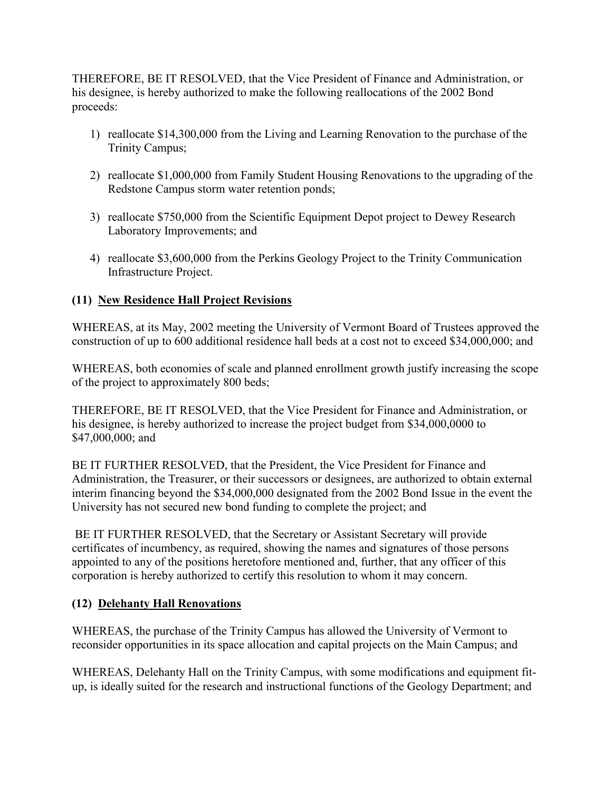<span id="page-18-0"></span>THEREFORE, BE IT RESOLVED, that the Vice President of Finance and Administration, or his designee, is hereby authorized to make the following reallocations of the 2002 Bond proceeds:

- 1) reallocate \$14,300,000 from the Living and Learning Renovation to the purchase of the Trinity Campus;
- 2) reallocate \$1,000,000 from Family Student Housing Renovations to the upgrading of the Redstone Campus storm water retention ponds;
- 3) reallocate \$750,000 from the Scientific Equipment Depot project to Dewey Research Laboratory Improvements; and
- 4) reallocate \$3,600,000 from the Perkins Geology Project to the Trinity Communication Infrastructure Project.

## **(11) New Residence Hall Project Revisions**

WHEREAS, at its May, 2002 meeting the University of Vermont Board of Trustees approved the construction of up to 600 additional residence hall beds at a cost not to exceed \$34,000,000; and

WHEREAS, both economies of scale and planned enrollment growth justify increasing the scope of the project to approximately 800 beds;

THEREFORE, BE IT RESOLVED, that the Vice President for Finance and Administration, or his designee, is hereby authorized to increase the project budget from \$34,000,0000 to \$47,000,000; and

BE IT FURTHER RESOLVED, that the President, the Vice President for Finance and Administration, the Treasurer, or their successors or designees, are authorized to obtain external interim financing beyond the \$34,000,000 designated from the 2002 Bond Issue in the event the University has not secured new bond funding to complete the project; and

BE IT FURTHER RESOLVED, that the Secretary or Assistant Secretary will provide certificates of incumbency, as required, showing the names and signatures of those persons appointed to any of the positions heretofore mentioned and, further, that any officer of this corporation is hereby authorized to certify this resolution to whom it may concern.

### **(12) Delehanty Hall Renovations**

WHEREAS, the purchase of the Trinity Campus has allowed the University of Vermont to reconsider opportunities in its space allocation and capital projects on the Main Campus; and

WHEREAS, Delehanty Hall on the Trinity Campus, with some modifications and equipment fitup, is ideally suited for the research and instructional functions of the Geology Department; and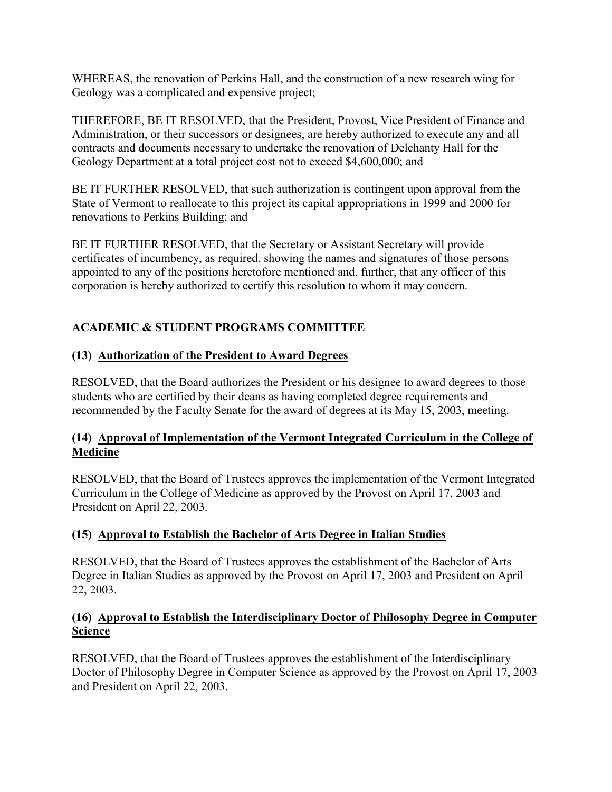<span id="page-19-0"></span>WHEREAS, the renovation of Perkins Hall, and the construction of a new research wing for Geology was a complicated and expensive project;

THEREFORE, BE IT RESOLVED, that the President, Provost, Vice President of Finance and Administration, or their successors or designees, are hereby authorized to execute any and all contracts and documents necessary to undertake the renovation of Delehanty Hall for the Geology Department at a total project cost not to exceed \$4,600,000; and

BE IT FURTHER RESOLVED, that such authorization is contingent upon approval from the State of Vermont to reallocate to this project its capital appropriations in 1999 and 2000 for renovations to Perkins Building; and

BE IT FURTHER RESOLVED, that the Secretary or Assistant Secretary will provide certificates of incumbency, as required, showing the names and signatures of those persons appointed to any of the positions heretofore mentioned and, further, that any officer of this corporation is hereby authorized to certify this resolution to whom it may concern.

## **ACADEMIC & STUDENT PROGRAMS COMMITTEE**

### **(13) Authorization of the President to Award Degrees**

RESOLVED, that the Board authorizes the President or his designee to award degrees to those students who are certified by their deans as having completed degree requirements and recommended by the Faculty Senate for the award of degrees at its May 15, 2003, meeting.

### **(14) Approval of Implementation of the Vermont Integrated Curriculum in the College of Medicine**

RESOLVED, that the Board of Trustees approves the implementation of the Vermont Integrated Curriculum in the College of Medicine as approved by the Provost on April 17, 2003 and President on April 22, 2003.

### **(15) Approval to Establish the Bachelor of Arts Degree in Italian Studies**

RESOLVED, that the Board of Trustees approves the establishment of the Bachelor of Arts Degree in Italian Studies as approved by the Provost on April 17, 2003 and President on April 22, 2003.

### **(16) Approval to Establish the Interdisciplinary Doctor of Philosophy Degree in Computer Science**

RESOLVED, that the Board of Trustees approves the establishment of the Interdisciplinary Doctor of Philosophy Degree in Computer Science as approved by the Provost on April 17, 2003 and President on April 22, 2003.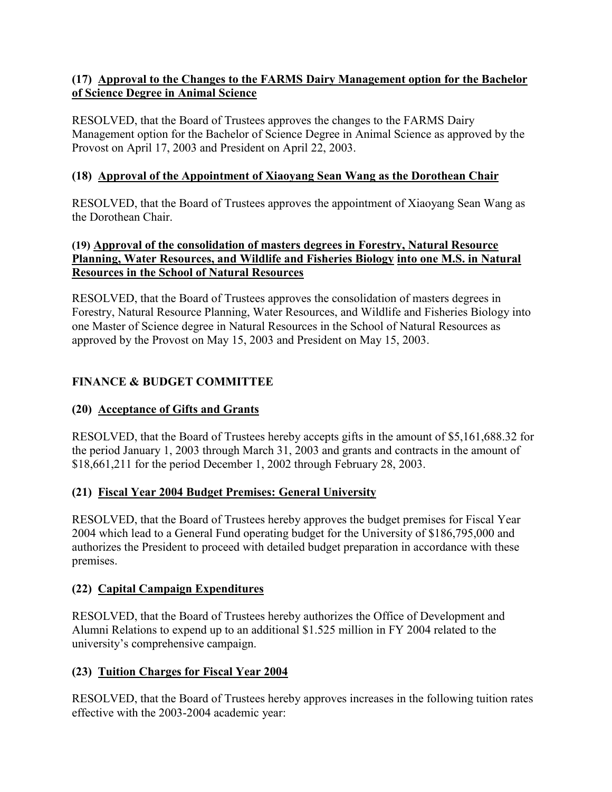### <span id="page-20-0"></span>**(17) Approval to the Changes to the FARMS Dairy Management option for the Bachelor of Science Degree in Animal Science**

RESOLVED, that the Board of Trustees approves the changes to the FARMS Dairy Management option for the Bachelor of Science Degree in Animal Science as approved by the Provost on April 17, 2003 and President on April 22, 2003.

### **(18) Approval of the Appointment of Xiaoyang Sean Wang as the Dorothean Chair**

RESOLVED, that the Board of Trustees approves the appointment of Xiaoyang Sean Wang as the Dorothean Chair.

### **(19) Approval of the consolidation of masters degrees in Forestry, Natural Resource Planning, Water Resources, and Wildlife and Fisheries Biology into one M.S. in Natural Resources in the School of Natural Resources**

RESOLVED, that the Board of Trustees approves the consolidation of masters degrees in Forestry, Natural Resource Planning, Water Resources, and Wildlife and Fisheries Biology into one Master of Science degree in Natural Resources in the School of Natural Resources as approved by the Provost on May 15, 2003 and President on May 15, 2003.

## **FINANCE & BUDGET COMMITTEE**

### **(20) Acceptance of Gifts and Grants**

RESOLVED, that the Board of Trustees hereby accepts gifts in the amount of \$5,161,688.32 for the period January 1, 2003 through March 31, 2003 and grants and contracts in the amount of \$18,661,211 for the period December 1, 2002 through February 28, 2003.

### **(21) Fiscal Year 2004 Budget Premises: General University**

RESOLVED, that the Board of Trustees hereby approves the budget premises for Fiscal Year 2004 which lead to a General Fund operating budget for the University of \$186,795,000 and authorizes the President to proceed with detailed budget preparation in accordance with these premises.

### **(22) Capital Campaign Expenditures**

RESOLVED, that the Board of Trustees hereby authorizes the Office of Development and Alumni Relations to expend up to an additional \$1.525 million in FY 2004 related to the university's comprehensive campaign.

### **(23) Tuition Charges for Fiscal Year 2004**

RESOLVED, that the Board of Trustees hereby approves increases in the following tuition rates effective with the 2003-2004 academic year: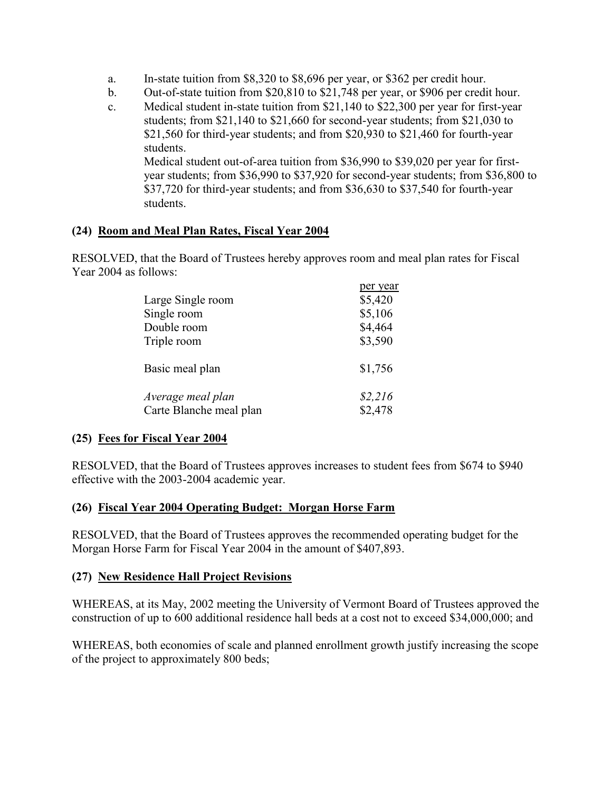- <span id="page-21-0"></span>a. In-state tuition from \$8,320 to \$8,696 per year, or \$362 per credit hour.
- b. Out-of-state tuition from \$20,810 to \$21,748 per year, or \$906 per credit hour.
- c. Medical student in-state tuition from  $$21,140$  to  $$22,300$  per year for first-year students; from \$21,140 to \$21,660 for second-year students; from \$21,030 to \$21,560 for third-year students; and from \$20,930 to \$21,460 for fourth-year students.

Medical student out-of-area tuition from \$36,990 to \$39,020 per year for firstyear students; from \$36,990 to \$37,920 for second-year students; from \$36,800 to \$37,720 for third-year students; and from \$36,630 to \$37,540 for fourth-year students.

per years

### **(24) Room and Meal Plan Rates, Fiscal Year 2004**

RESOLVED, that the Board of Trustees hereby approves room and meal plan rates for Fiscal Year 2004 as follows:

| per year |
|----------|
| \$5,420  |
| \$5,106  |
| \$4,464  |
| \$3,590  |
| \$1,756  |
| \$2,216  |
| \$2,478  |
|          |

### **(25) Fees for Fiscal Year 2004**

RESOLVED, that the Board of Trustees approves increases to student fees from \$674 to \$940 effective with the 2003-2004 academic year.

### **(26) Fiscal Year 2004 Operating Budget: Morgan Horse Farm**

RESOLVED, that the Board of Trustees approves the recommended operating budget for the Morgan Horse Farm for Fiscal Year 2004 in the amount of \$407,893.

### **(27) New Residence Hall Project Revisions**

WHEREAS, at its May, 2002 meeting the University of Vermont Board of Trustees approved the construction of up to 600 additional residence hall beds at a cost not to exceed \$34,000,000; and

WHEREAS, both economies of scale and planned enrollment growth justify increasing the scope of the project to approximately 800 beds;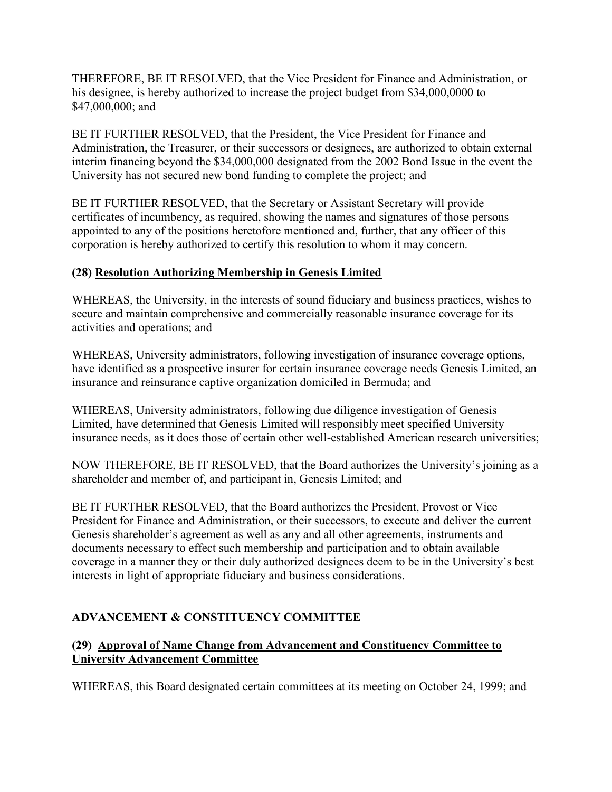<span id="page-22-0"></span>THEREFORE, BE IT RESOLVED, that the Vice President for Finance and Administration, or his designee, is hereby authorized to increase the project budget from \$34,000,0000 to \$47,000,000; and

BE IT FURTHER RESOLVED, that the President, the Vice President for Finance and Administration, the Treasurer, or their successors or designees, are authorized to obtain external interim financing beyond the \$34,000,000 designated from the 2002 Bond Issue in the event the University has not secured new bond funding to complete the project; and

BE IT FURTHER RESOLVED, that the Secretary or Assistant Secretary will provide certificates of incumbency, as required, showing the names and signatures of those persons appointed to any of the positions heretofore mentioned and, further, that any officer of this corporation is hereby authorized to certify this resolution to whom it may concern.

### **(28) Resolution Authorizing Membership in Genesis Limited**

WHEREAS, the University, in the interests of sound fiduciary and business practices, wishes to secure and maintain comprehensive and commercially reasonable insurance coverage for its activities and operations; and

WHEREAS, University administrators, following investigation of insurance coverage options, have identified as a prospective insurer for certain insurance coverage needs Genesis Limited, an insurance and reinsurance captive organization domiciled in Bermuda; and

WHEREAS, University administrators, following due diligence investigation of Genesis Limited, have determined that Genesis Limited will responsibly meet specified University insurance needs, as it does those of certain other well-established American research universities;

NOW THEREFORE, BE IT RESOLVED, that the Board authorizes the University's joining as a shareholder and member of, and participant in, Genesis Limited; and

BE IT FURTHER RESOLVED, that the Board authorizes the President, Provost or Vice President for Finance and Administration, or their successors, to execute and deliver the current Genesis shareholder's agreement as well as any and all other agreements, instruments and documents necessary to effect such membership and participation and to obtain available coverage in a manner they or their duly authorized designees deem to be in the University's best interests in light of appropriate fiduciary and business considerations.

### **ADVANCEMENT & CONSTITUENCY COMMITTEE**

### **(29) Approval of Name Change from Advancement and Constituency Committee to University Advancement Committee**

WHEREAS, this Board designated certain committees at its meeting on October 24, 1999; and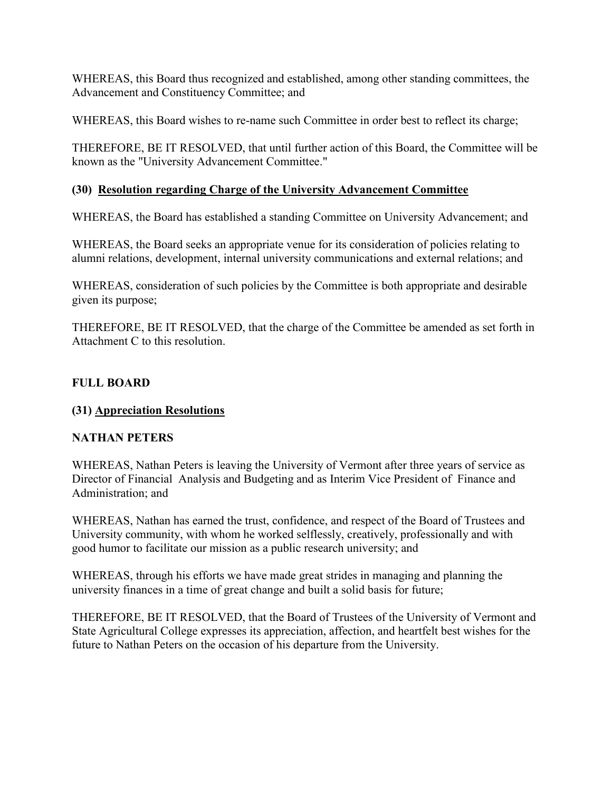<span id="page-23-0"></span>WHEREAS, this Board thus recognized and established, among other standing committees, the Advancement and Constituency Committee; and

WHEREAS, this Board wishes to re-name such Committee in order best to reflect its charge;

THEREFORE, BE IT RESOLVED, that until further action of this Board, the Committee will be known as the "University Advancement Committee."

### **(30) Resolution regarding Charge of the University Advancement Committee**

WHEREAS, the Board has established a standing Committee on University Advancement; and

WHEREAS, the Board seeks an appropriate venue for its consideration of policies relating to alumni relations, development, internal university communications and external relations; and

WHEREAS, consideration of such policies by the Committee is both appropriate and desirable given its purpose;

THEREFORE, BE IT RESOLVED, that the charge of the Committee be amended as set forth in Attachment C to this resolution.

### **FULL BOARD**

### **(31) Appreciation Resolutions**

### **NATHAN PETERS**

WHEREAS, Nathan Peters is leaving the University of Vermont after three years of service as Director of Financial Analysis and Budgeting and as Interim Vice President of Finance and Administration; and

WHEREAS, Nathan has earned the trust, confidence, and respect of the Board of Trustees and University community, with whom he worked selflessly, creatively, professionally and with good humor to facilitate our mission as a public research university; and

WHEREAS, through his efforts we have made great strides in managing and planning the university finances in a time of great change and built a solid basis for future;

THEREFORE, BE IT RESOLVED, that the Board of Trustees of the University of Vermont and State Agricultural College expresses its appreciation, affection, and heartfelt best wishes for the future to Nathan Peters on the occasion of his departure from the University.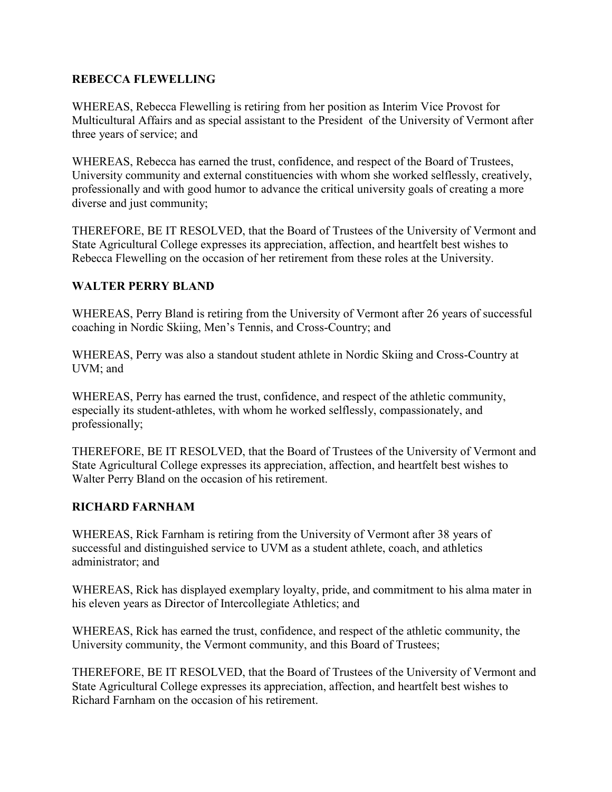#### **REBECCA FLEWELLING**

WHEREAS, Rebecca Flewelling is retiring from her position as Interim Vice Provost for Multicultural Affairs and as special assistant to the President of the University of Vermont after three years of service; and

WHEREAS, Rebecca has earned the trust, confidence, and respect of the Board of Trustees, University community and external constituencies with whom she worked selflessly, creatively, professionally and with good humor to advance the critical university goals of creating a more diverse and just community;

THEREFORE, BE IT RESOLVED, that the Board of Trustees of the University of Vermont and State Agricultural College expresses its appreciation, affection, and heartfelt best wishes to Rebecca Flewelling on the occasion of her retirement from these roles at the University.

### **WALTER PERRY BLAND**

WHEREAS, Perry Bland is retiring from the University of Vermont after 26 years of successful coaching in Nordic Skiing, Men's Tennis, and Cross-Country; and

WHEREAS, Perry was also a standout student athlete in Nordic Skiing and Cross-Country at UVM; and

WHEREAS, Perry has earned the trust, confidence, and respect of the athletic community, especially its student-athletes, with whom he worked selflessly, compassionately, and professionally;

THEREFORE, BE IT RESOLVED, that the Board of Trustees of the University of Vermont and State Agricultural College expresses its appreciation, affection, and heartfelt best wishes to Walter Perry Bland on the occasion of his retirement.

### **RICHARD FARNHAM**

WHEREAS, Rick Farnham is retiring from the University of Vermont after 38 years of successful and distinguished service to UVM as a student athlete, coach, and athletics administrator; and

WHEREAS, Rick has displayed exemplary loyalty, pride, and commitment to his alma mater in his eleven years as Director of Intercollegiate Athletics; and

WHEREAS, Rick has earned the trust, confidence, and respect of the athletic community, the University community, the Vermont community, and this Board of Trustees;

THEREFORE, BE IT RESOLVED, that the Board of Trustees of the University of Vermont and State Agricultural College expresses its appreciation, affection, and heartfelt best wishes to Richard Farnham on the occasion of his retirement.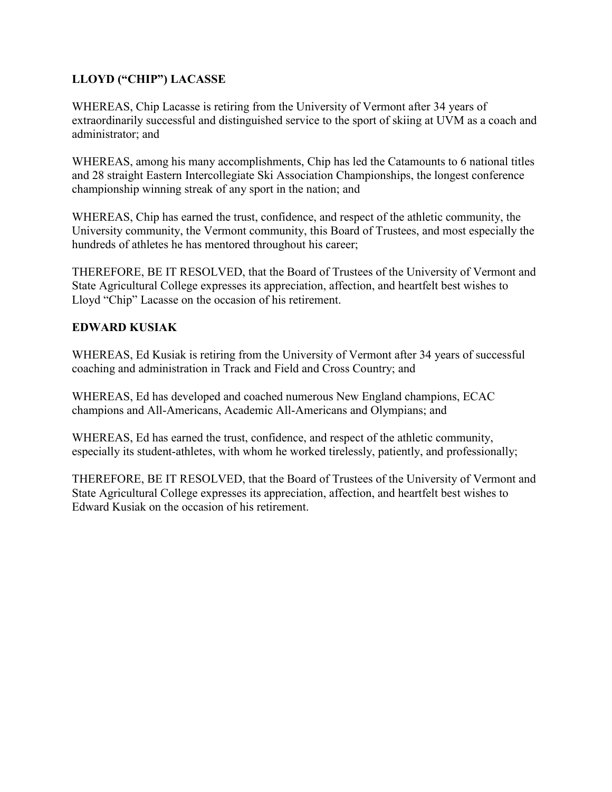## **LLOYD ("CHIP") LACASSE**

WHEREAS, Chip Lacasse is retiring from the University of Vermont after 34 years of extraordinarily successful and distinguished service to the sport of skiing at UVM as a coach and administrator; and

WHEREAS, among his many accomplishments, Chip has led the Catamounts to 6 national titles and 28 straight Eastern Intercollegiate Ski Association Championships, the longest conference championship winning streak of any sport in the nation; and

WHEREAS, Chip has earned the trust, confidence, and respect of the athletic community, the University community, the Vermont community, this Board of Trustees, and most especially the hundreds of athletes he has mentored throughout his career;

THEREFORE, BE IT RESOLVED, that the Board of Trustees of the University of Vermont and State Agricultural College expresses its appreciation, affection, and heartfelt best wishes to Lloyd "Chip" Lacasse on the occasion of his retirement.

### **EDWARD KUSIAK**

WHEREAS, Ed Kusiak is retiring from the University of Vermont after 34 years of successful coaching and administration in Track and Field and Cross Country; and

WHEREAS, Ed has developed and coached numerous New England champions, ECAC champions and All-Americans, Academic All-Americans and Olympians; and

WHEREAS, Ed has earned the trust, confidence, and respect of the athletic community, especially its student-athletes, with whom he worked tirelessly, patiently, and professionally;

THEREFORE, BE IT RESOLVED, that the Board of Trustees of the University of Vermont and State Agricultural College expresses its appreciation, affection, and heartfelt best wishes to Edward Kusiak on the occasion of his retirement.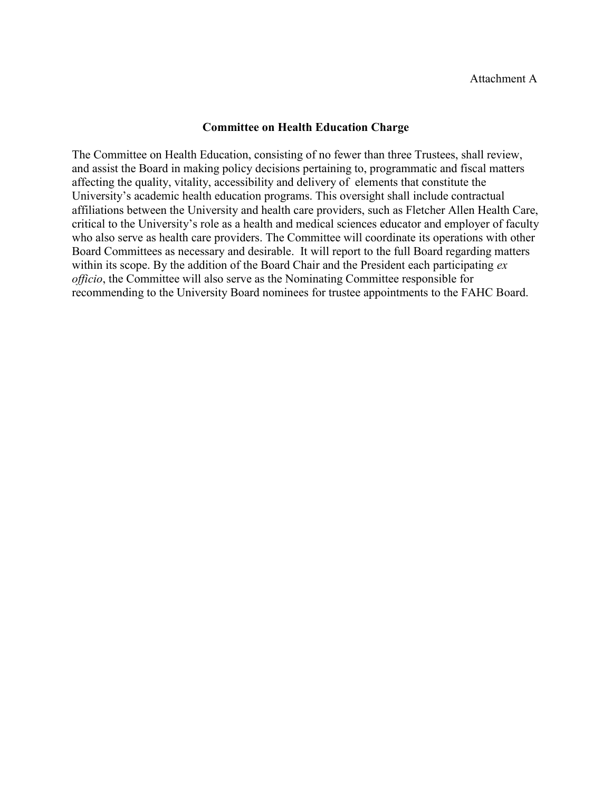#### **Committee on Health Education Charge**

The Committee on Health Education, consisting of no fewer than three Trustees, shall review, and assist the Board in making policy decisions pertaining to, programmatic and fiscal matters affecting the quality, vitality, accessibility and delivery of elements that constitute the University's academic health education programs. This oversight shall include contractual affiliations between the University and health care providers, such as Fletcher Allen Health Care, critical to the University's role as a health and medical sciences educator and employer of faculty who also serve as health care providers. The Committee will coordinate its operations with other Board Committees as necessary and desirable. It will report to the full Board regarding matters within its scope. By the addition of the Board Chair and the President each participating *ex officio*, the Committee will also serve as the Nominating Committee responsible for recommending to the University Board nominees for trustee appointments to the FAHC Board.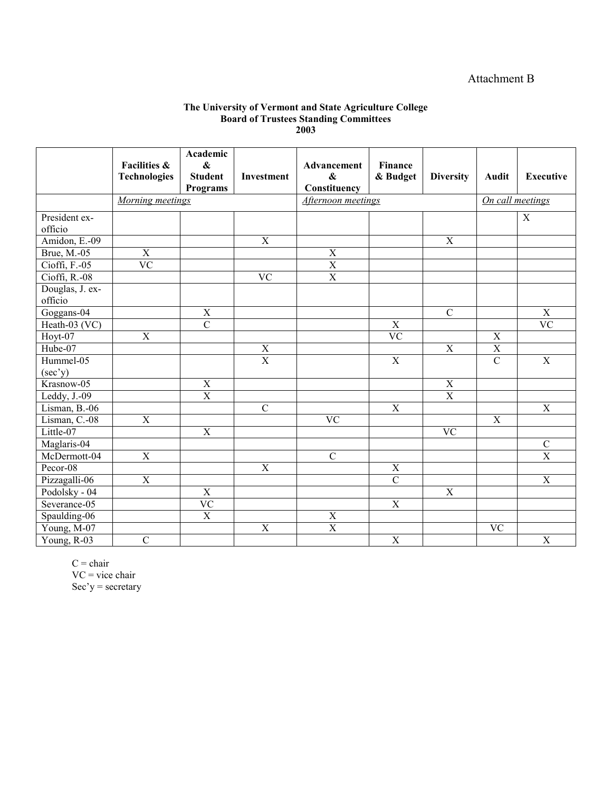### Attachment B

#### **The University of Vermont and State Agriculture College Board of Trustees Standing Committees 2003**

|                            | <b>Facilities &amp;</b> | Academic<br>$\boldsymbol{\&}$ |                | Advancement             | Finance         |                        |                        |                  |
|----------------------------|-------------------------|-------------------------------|----------------|-------------------------|-----------------|------------------------|------------------------|------------------|
|                            | <b>Technologies</b>     | <b>Student</b>                | Investment     | $\boldsymbol{\&}$       | & Budget        | <b>Diversity</b>       | Audit                  | <b>Executive</b> |
|                            |                         | <b>Programs</b>               |                | Constituency            |                 |                        |                        |                  |
|                            | Morning meetings        |                               |                | Afternoon meetings      |                 |                        | On call meetings       |                  |
| President ex-              |                         |                               |                |                         |                 |                        |                        | $\mathbf X$      |
| officio                    |                         |                               |                |                         |                 |                        |                        |                  |
| Amidon, E.-09              |                         |                               | $\mathbf X$    |                         |                 | $\mathbf X$            |                        |                  |
| Brue, M.-05                | $\mathbf X$             |                               |                | $\overline{X}$          |                 |                        |                        |                  |
| Cioffi, F.-05              | $\overline{VC}$         |                               |                | $\overline{\textbf{X}}$ |                 |                        |                        |                  |
| Cioffi, R.-08              |                         |                               | <b>VC</b>      | $\overline{X}$          |                 |                        |                        |                  |
| Douglas, J. ex-<br>officio |                         |                               |                |                         |                 |                        |                        |                  |
| Goggans-04                 |                         | $\overline{X}$                |                |                         |                 | $\overline{C}$         |                        | $\overline{X}$   |
| Heath-03 (VC)              |                         | $\overline{C}$                |                |                         | $\overline{X}$  |                        |                        | $\overline{VC}$  |
| Hoyt-07                    | $\overline{X}$          |                               |                |                         | $\overline{VC}$ |                        | $\overline{X}$         |                  |
| $Hube-07$                  |                         |                               | $\overline{X}$ |                         |                 | $\overline{X}$         | $\overline{X}$         |                  |
| Hummel-05                  |                         |                               | $\overline{X}$ |                         | $\overline{X}$  |                        | $\overline{C}$         | $\overline{X}$   |
| $(\sec' y)$                |                         |                               |                |                         |                 |                        |                        |                  |
| Krasnow-05                 |                         | $\overline{X}$                |                |                         |                 | $\mathbf X$            |                        |                  |
| Leddy, J.-09               |                         | $\overline{X}$                |                |                         |                 | $\overline{X}$         |                        |                  |
| Lisman, B.-06              |                         |                               | $\overline{C}$ |                         | $\overline{X}$  |                        |                        | $\overline{X}$   |
| Lisman, C.-08              | $\overline{X}$          |                               |                | $\overline{VC}$         |                 |                        | $\overline{X}$         |                  |
| Little-07                  |                         | $\overline{X}$                |                |                         |                 | $\overline{\text{VC}}$ |                        |                  |
| Maglaris-04                |                         |                               |                |                         |                 |                        |                        | $\overline{C}$   |
| McDermott-04               | $\overline{X}$          |                               |                | $\overline{C}$          |                 |                        |                        | $\overline{X}$   |
| $Pecor-08$                 |                         |                               | $\overline{X}$ |                         | $\overline{X}$  |                        |                        |                  |
| Pizzagalli-06              | X                       |                               |                |                         | $\overline{C}$  |                        |                        | $\mathbf X$      |
| Podolsky - 04              |                         | $\mathbf X$                   |                |                         |                 | $\mathbf X$            |                        |                  |
| Severance-05               |                         | $\overline{VC}$               |                |                         | $\overline{X}$  |                        |                        |                  |
| Spaulding-06               |                         | $\overline{X}$                |                | $\overline{X}$          |                 |                        |                        |                  |
| Young, M-07                |                         |                               | $\overline{X}$ | $\overline{\textbf{X}}$ |                 |                        | $\overline{\text{VC}}$ |                  |
| Young, R-03                | $\overline{C}$          |                               |                |                         | $\overline{X}$  |                        |                        | $\overline{X}$   |

 $C =$ chair  $VC$  = vice chair Sec'y = secretary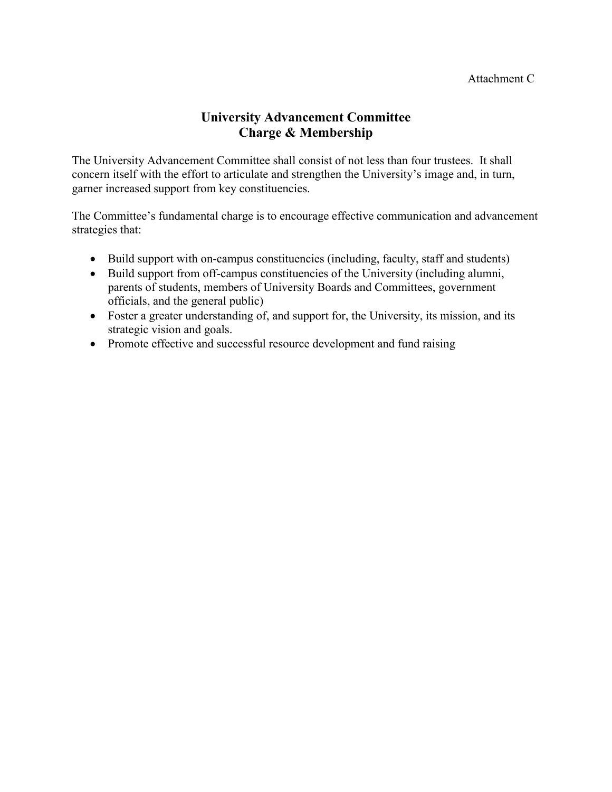# **University Advancement Committee Charge & Membership**

The University Advancement Committee shall consist of not less than four trustees. It shall concern itself with the effort to articulate and strengthen the University's image and, in turn, garner increased support from key constituencies.

The Committee's fundamental charge is to encourage effective communication and advancement strategies that:

- Build support with on-campus constituencies (including, faculty, staff and students)
- Build support from off-campus constituencies of the University (including alumni, parents of students, members of University Boards and Committees, government officials, and the general public)
- Foster a greater understanding of, and support for, the University, its mission, and its strategic vision and goals.
- Promote effective and successful resource development and fund raising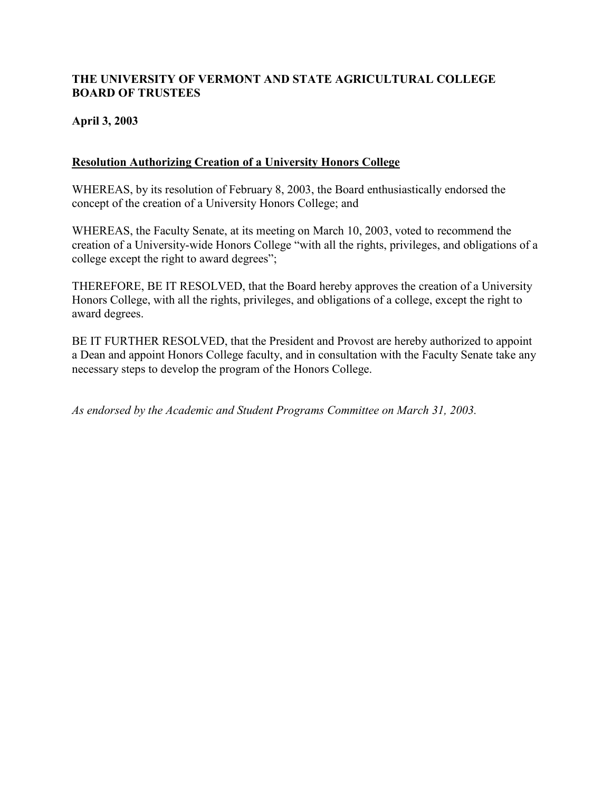### <span id="page-29-0"></span>**THE UNIVERSITY OF VERMONT AND STATE AGRICULTURAL COLLEGE BOARD OF TRUSTEES**

### **April 3, 2003**

### **Resolution Authorizing Creation of a University Honors College**

WHEREAS, by its resolution of February 8, 2003, the Board enthusiastically endorsed the concept of the creation of a University Honors College; and

WHEREAS, the Faculty Senate, at its meeting on March 10, 2003, voted to recommend the creation of a University-wide Honors College "with all the rights, privileges, and obligations of a college except the right to award degrees";

THEREFORE, BE IT RESOLVED, that the Board hereby approves the creation of a University Honors College, with all the rights, privileges, and obligations of a college, except the right to award degrees.

BE IT FURTHER RESOLVED, that the President and Provost are hereby authorized to appoint a Dean and appoint Honors College faculty, and in consultation with the Faculty Senate take any necessary steps to develop the program of the Honors College.

*As endorsed by the Academic and Student Programs Committee on March 31, 2003.*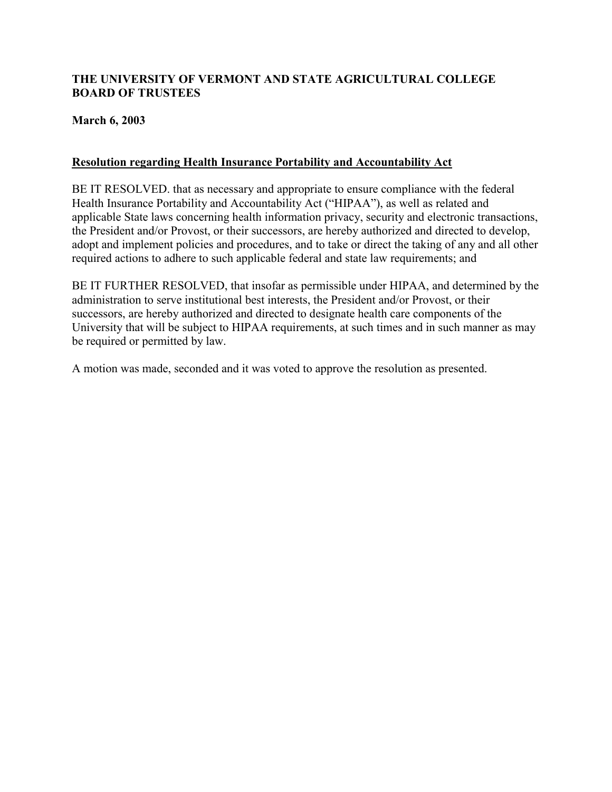### <span id="page-30-0"></span>**THE UNIVERSITY OF VERMONT AND STATE AGRICULTURAL COLLEGE BOARD OF TRUSTEES**

### **March 6, 2003**

### **Resolution regarding Health Insurance Portability and Accountability Act**

BE IT RESOLVED. that as necessary and appropriate to ensure compliance with the federal Health Insurance Portability and Accountability Act ("HIPAA"), as well as related and applicable State laws concerning health information privacy, security and electronic transactions, the President and/or Provost, or their successors, are hereby authorized and directed to develop, adopt and implement policies and procedures, and to take or direct the taking of any and all other required actions to adhere to such applicable federal and state law requirements; and

BE IT FURTHER RESOLVED, that insofar as permissible under HIPAA, and determined by the administration to serve institutional best interests, the President and/or Provost, or their successors, are hereby authorized and directed to designate health care components of the University that will be subject to HIPAA requirements, at such times and in such manner as may be required or permitted by law.

A motion was made, seconded and it was voted to approve the resolution as presented.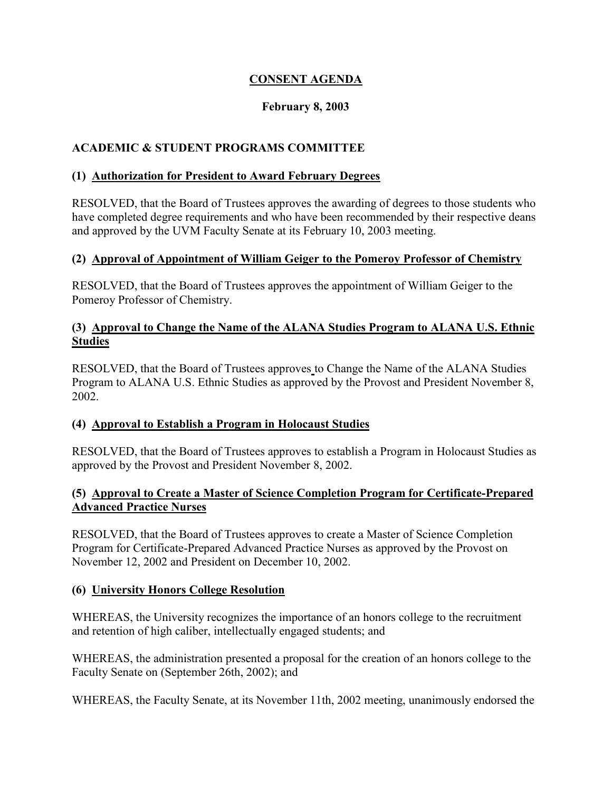### **CONSENT AGENDA**

### **February 8, 2003**

### <span id="page-31-0"></span>**ACADEMIC & STUDENT PROGRAMS COMMITTEE**

#### **(1) Authorization for President to Award February Degrees**

RESOLVED, that the Board of Trustees approves the awarding of degrees to those students who have completed degree requirements and who have been recommended by their respective deans and approved by the UVM Faculty Senate at its February 10, 2003 meeting.

### **(2) Approval of Appointment of William Geiger to the Pomeroy Professor of Chemistry**

RESOLVED, that the Board of Trustees approves the appointment of William Geiger to the Pomeroy Professor of Chemistry.

### **(3) Approval to Change the Name of the ALANA Studies Program to ALANA U.S. Ethnic Studies**

RESOLVED, that the Board of Trustees approves to Change the Name of the ALANA Studies Program to ALANA U.S. Ethnic Studies as approved by the Provost and President November 8, 2002.

### **(4) Approval to Establish a Program in Holocaust Studies**

RESOLVED, that the Board of Trustees approves to establish a Program in Holocaust Studies as approved by the Provost and President November 8, 2002.

### **(5) Approval to Create a Master of Science Completion Program for Certificate-Prepared Advanced Practice Nurses**

RESOLVED, that the Board of Trustees approves to create a Master of Science Completion Program for Certificate-Prepared Advanced Practice Nurses as approved by the Provost on November 12, 2002 and President on December 10, 2002.

### **(6) University Honors College Resolution**

WHEREAS, the University recognizes the importance of an honors college to the recruitment and retention of high caliber, intellectually engaged students; and

WHEREAS, the administration presented a proposal for the creation of an honors college to the Faculty Senate on (September 26th, 2002); and

WHEREAS, the Faculty Senate, at its November 11th, 2002 meeting, unanimously endorsed the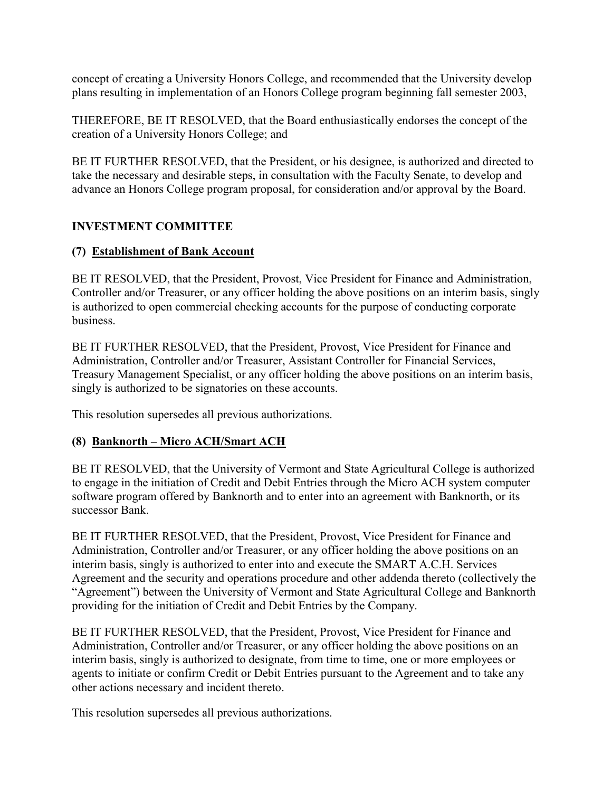<span id="page-32-0"></span>concept of creating a University Honors College, and recommended that the University develop plans resulting in implementation of an Honors College program beginning fall semester 2003,

THEREFORE, BE IT RESOLVED, that the Board enthusiastically endorses the concept of the creation of a University Honors College; and

BE IT FURTHER RESOLVED, that the President, or his designee, is authorized and directed to take the necessary and desirable steps, in consultation with the Faculty Senate, to develop and advance an Honors College program proposal, for consideration and/or approval by the Board.

## **INVESTMENT COMMITTEE**

### **(7) Establishment of Bank Account**

BE IT RESOLVED, that the President, Provost, Vice President for Finance and Administration, Controller and/or Treasurer, or any officer holding the above positions on an interim basis, singly is authorized to open commercial checking accounts for the purpose of conducting corporate business.

BE IT FURTHER RESOLVED, that the President, Provost, Vice President for Finance and Administration, Controller and/or Treasurer, Assistant Controller for Financial Services, Treasury Management Specialist, or any officer holding the above positions on an interim basis, singly is authorized to be signatories on these accounts.

This resolution supersedes all previous authorizations.

### **(8) Banknorth – Micro ACH/Smart ACH**

BE IT RESOLVED, that the University of Vermont and State Agricultural College is authorized to engage in the initiation of Credit and Debit Entries through the Micro ACH system computer software program offered by Banknorth and to enter into an agreement with Banknorth, or its successor Bank.

BE IT FURTHER RESOLVED, that the President, Provost, Vice President for Finance and Administration, Controller and/or Treasurer, or any officer holding the above positions on an interim basis, singly is authorized to enter into and execute the SMART A.C.H. Services Agreement and the security and operations procedure and other addenda thereto (collectively the "Agreement") between the University of Vermont and State Agricultural College and Banknorth providing for the initiation of Credit and Debit Entries by the Company.

BE IT FURTHER RESOLVED, that the President, Provost, Vice President for Finance and Administration, Controller and/or Treasurer, or any officer holding the above positions on an interim basis, singly is authorized to designate, from time to time, one or more employees or agents to initiate or confirm Credit or Debit Entries pursuant to the Agreement and to take any other actions necessary and incident thereto.

This resolution supersedes all previous authorizations.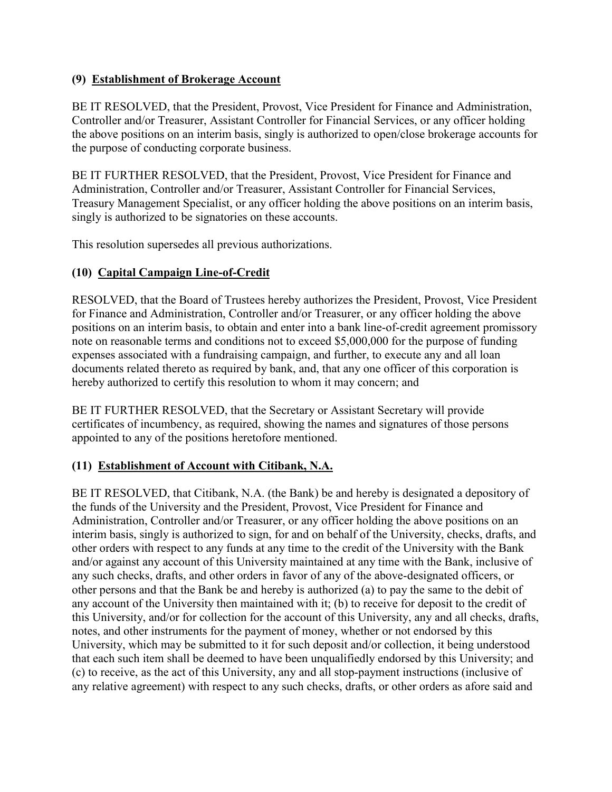### <span id="page-33-0"></span>**(9) Establishment of Brokerage Account**

BE IT RESOLVED, that the President, Provost, Vice President for Finance and Administration, Controller and/or Treasurer, Assistant Controller for Financial Services, or any officer holding the above positions on an interim basis, singly is authorized to open/close brokerage accounts for the purpose of conducting corporate business.

BE IT FURTHER RESOLVED, that the President, Provost, Vice President for Finance and Administration, Controller and/or Treasurer, Assistant Controller for Financial Services, Treasury Management Specialist, or any officer holding the above positions on an interim basis, singly is authorized to be signatories on these accounts.

This resolution supersedes all previous authorizations.

### **(10) Capital Campaign Line-of-Credit**

RESOLVED, that the Board of Trustees hereby authorizes the President, Provost, Vice President for Finance and Administration, Controller and/or Treasurer, or any officer holding the above positions on an interim basis, to obtain and enter into a bank line-of-credit agreement promissory note on reasonable terms and conditions not to exceed \$5,000,000 for the purpose of funding expenses associated with a fundraising campaign, and further, to execute any and all loan documents related thereto as required by bank, and, that any one officer of this corporation is hereby authorized to certify this resolution to whom it may concern; and

BE IT FURTHER RESOLVED, that the Secretary or Assistant Secretary will provide certificates of incumbency, as required, showing the names and signatures of those persons appointed to any of the positions heretofore mentioned.

### **(11) Establishment of Account with Citibank, N.A.**

BE IT RESOLVED, that Citibank, N.A. (the Bank) be and hereby is designated a depository of the funds of the University and the President, Provost, Vice President for Finance and Administration, Controller and/or Treasurer, or any officer holding the above positions on an interim basis, singly is authorized to sign, for and on behalf of the University, checks, drafts, and other orders with respect to any funds at any time to the credit of the University with the Bank and/or against any account of this University maintained at any time with the Bank, inclusive of any such checks, drafts, and other orders in favor of any of the above-designated officers, or other persons and that the Bank be and hereby is authorized (a) to pay the same to the debit of any account of the University then maintained with it; (b) to receive for deposit to the credit of this University, and/or for collection for the account of this University, any and all checks, drafts, notes, and other instruments for the payment of money, whether or not endorsed by this University, which may be submitted to it for such deposit and/or collection, it being understood that each such item shall be deemed to have been unqualifiedly endorsed by this University; and (c) to receive, as the act of this University, any and all stop-payment instructions (inclusive of any relative agreement) with respect to any such checks, drafts, or other orders as afore said and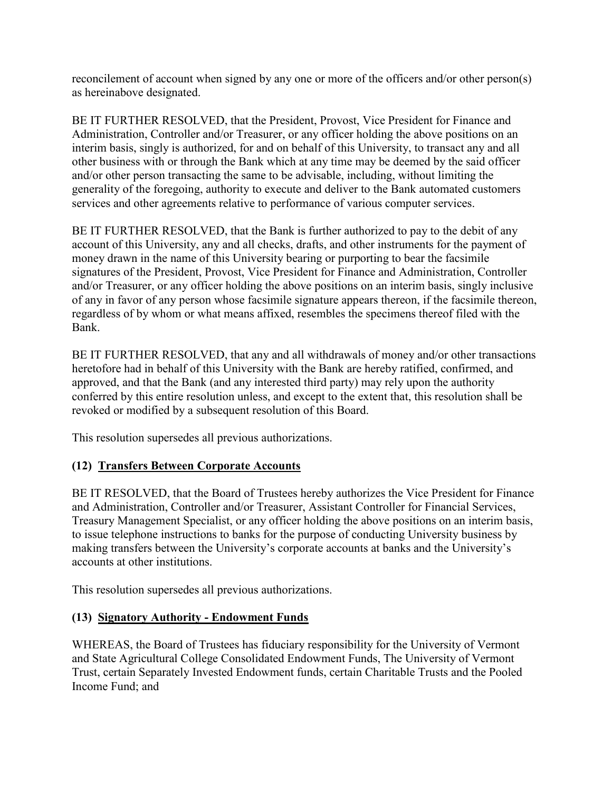<span id="page-34-0"></span>reconcilement of account when signed by any one or more of the officers and/or other person(s) as hereinabove designated.

BE IT FURTHER RESOLVED, that the President, Provost, Vice President for Finance and Administration, Controller and/or Treasurer, or any officer holding the above positions on an interim basis, singly is authorized, for and on behalf of this University, to transact any and all other business with or through the Bank which at any time may be deemed by the said officer and/or other person transacting the same to be advisable, including, without limiting the generality of the foregoing, authority to execute and deliver to the Bank automated customers services and other agreements relative to performance of various computer services.

BE IT FURTHER RESOLVED, that the Bank is further authorized to pay to the debit of any account of this University, any and all checks, drafts, and other instruments for the payment of money drawn in the name of this University bearing or purporting to bear the facsimile signatures of the President, Provost, Vice President for Finance and Administration, Controller and/or Treasurer, or any officer holding the above positions on an interim basis, singly inclusive of any in favor of any person whose facsimile signature appears thereon, if the facsimile thereon, regardless of by whom or what means affixed, resembles the specimens thereof filed with the Bank.

BE IT FURTHER RESOLVED, that any and all withdrawals of money and/or other transactions heretofore had in behalf of this University with the Bank are hereby ratified, confirmed, and approved, and that the Bank (and any interested third party) may rely upon the authority conferred by this entire resolution unless, and except to the extent that, this resolution shall be revoked or modified by a subsequent resolution of this Board.

This resolution supersedes all previous authorizations.

# **(12) Transfers Between Corporate Accounts**

BE IT RESOLVED, that the Board of Trustees hereby authorizes the Vice President for Finance and Administration, Controller and/or Treasurer, Assistant Controller for Financial Services, Treasury Management Specialist, or any officer holding the above positions on an interim basis, to issue telephone instructions to banks for the purpose of conducting University business by making transfers between the University's corporate accounts at banks and the University's accounts at other institutions.

This resolution supersedes all previous authorizations.

### **(13) Signatory Authority - Endowment Funds**

WHEREAS, the Board of Trustees has fiduciary responsibility for the University of Vermont and State Agricultural College Consolidated Endowment Funds, The University of Vermont Trust, certain Separately Invested Endowment funds, certain Charitable Trusts and the Pooled Income Fund; and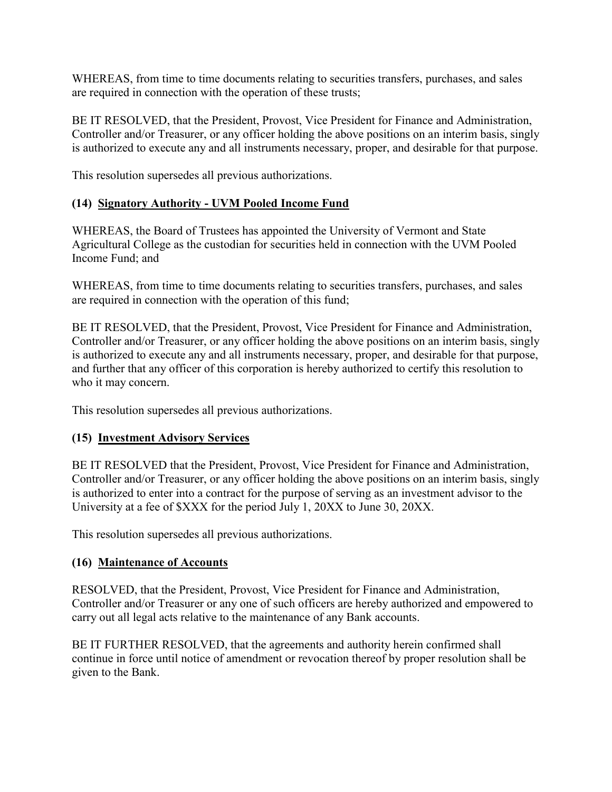<span id="page-35-0"></span>WHEREAS, from time to time documents relating to securities transfers, purchases, and sales are required in connection with the operation of these trusts;

BE IT RESOLVED, that the President, Provost, Vice President for Finance and Administration, Controller and/or Treasurer, or any officer holding the above positions on an interim basis, singly is authorized to execute any and all instruments necessary, proper, and desirable for that purpose.

This resolution supersedes all previous authorizations.

### **(14) Signatory Authority - UVM Pooled Income Fund**

WHEREAS, the Board of Trustees has appointed the University of Vermont and State Agricultural College as the custodian for securities held in connection with the UVM Pooled Income Fund; and

WHEREAS, from time to time documents relating to securities transfers, purchases, and sales are required in connection with the operation of this fund;

BE IT RESOLVED, that the President, Provost, Vice President for Finance and Administration, Controller and/or Treasurer, or any officer holding the above positions on an interim basis, singly is authorized to execute any and all instruments necessary, proper, and desirable for that purpose, and further that any officer of this corporation is hereby authorized to certify this resolution to who it may concern.

This resolution supersedes all previous authorizations.

### **(15) Investment Advisory Services**

BE IT RESOLVED that the President, Provost, Vice President for Finance and Administration, Controller and/or Treasurer, or any officer holding the above positions on an interim basis, singly is authorized to enter into a contract for the purpose of serving as an investment advisor to the University at a fee of \$XXX for the period July 1, 20XX to June 30, 20XX.

This resolution supersedes all previous authorizations.

### **(16) Maintenance of Accounts**

RESOLVED, that the President, Provost, Vice President for Finance and Administration, Controller and/or Treasurer or any one of such officers are hereby authorized and empowered to carry out all legal acts relative to the maintenance of any Bank accounts.

BE IT FURTHER RESOLVED, that the agreements and authority herein confirmed shall continue in force until notice of amendment or revocation thereof by proper resolution shall be given to the Bank.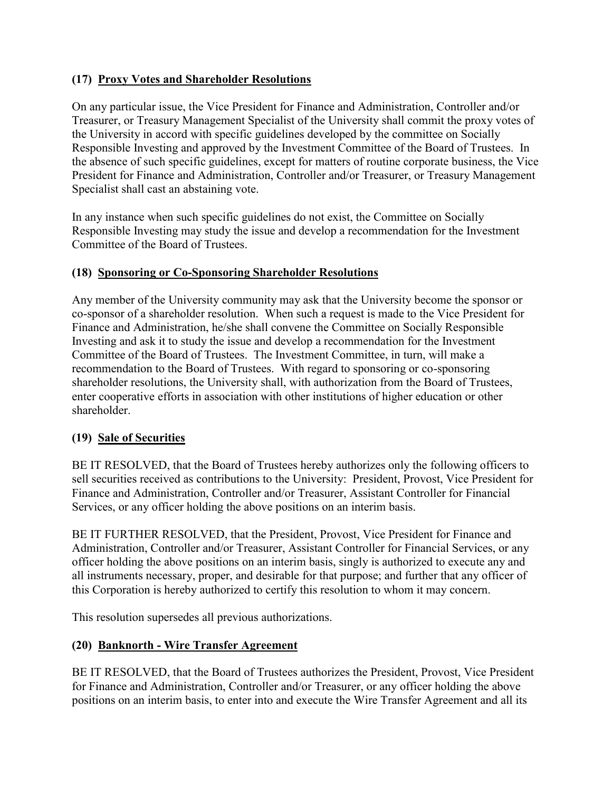### <span id="page-36-0"></span>**(17) Proxy Votes and Shareholder Resolutions**

On any particular issue, the Vice President for Finance and Administration, Controller and/or Treasurer, or Treasury Management Specialist of the University shall commit the proxy votes of the University in accord with specific guidelines developed by the committee on Socially Responsible Investing and approved by the Investment Committee of the Board of Trustees. In the absence of such specific guidelines, except for matters of routine corporate business, the Vice President for Finance and Administration, Controller and/or Treasurer, or Treasury Management Specialist shall cast an abstaining vote.

In any instance when such specific guidelines do not exist, the Committee on Socially Responsible Investing may study the issue and develop a recommendation for the Investment Committee of the Board of Trustees.

### **(18) Sponsoring or Co-Sponsoring Shareholder Resolutions**

Any member of the University community may ask that the University become the sponsor or co-sponsor of a shareholder resolution. When such a request is made to the Vice President for Finance and Administration, he/she shall convene the Committee on Socially Responsible Investing and ask it to study the issue and develop a recommendation for the Investment Committee of the Board of Trustees. The Investment Committee, in turn, will make a recommendation to the Board of Trustees. With regard to sponsoring or co-sponsoring shareholder resolutions, the University shall, with authorization from the Board of Trustees, enter cooperative efforts in association with other institutions of higher education or other shareholder.

### **(19) Sale of Securities**

BE IT RESOLVED, that the Board of Trustees hereby authorizes only the following officers to sell securities received as contributions to the University: President, Provost, Vice President for Finance and Administration, Controller and/or Treasurer, Assistant Controller for Financial Services, or any officer holding the above positions on an interim basis.

BE IT FURTHER RESOLVED, that the President, Provost, Vice President for Finance and Administration, Controller and/or Treasurer, Assistant Controller for Financial Services, or any officer holding the above positions on an interim basis, singly is authorized to execute any and all instruments necessary, proper, and desirable for that purpose; and further that any officer of this Corporation is hereby authorized to certify this resolution to whom it may concern.

This resolution supersedes all previous authorizations.

### **(20) Banknorth - Wire Transfer Agreement**

BE IT RESOLVED, that the Board of Trustees authorizes the President, Provost, Vice President for Finance and Administration, Controller and/or Treasurer, or any officer holding the above positions on an interim basis, to enter into and execute the Wire Transfer Agreement and all its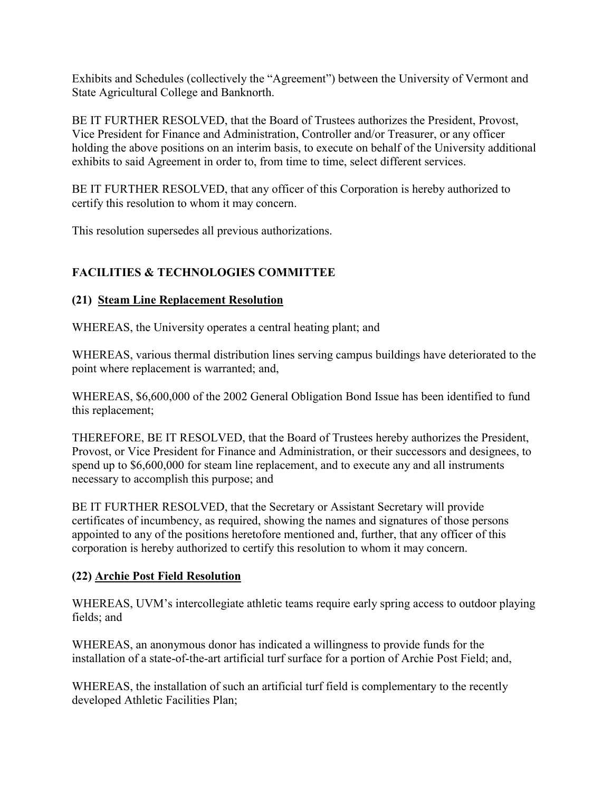<span id="page-37-0"></span>Exhibits and Schedules (collectively the "Agreement") between the University of Vermont and State Agricultural College and Banknorth.

BE IT FURTHER RESOLVED, that the Board of Trustees authorizes the President, Provost, Vice President for Finance and Administration, Controller and/or Treasurer, or any officer holding the above positions on an interim basis, to execute on behalf of the University additional exhibits to said Agreement in order to, from time to time, select different services.

BE IT FURTHER RESOLVED, that any officer of this Corporation is hereby authorized to certify this resolution to whom it may concern.

This resolution supersedes all previous authorizations.

# **FACILITIES & TECHNOLOGIES COMMITTEE**

### **(21) Steam Line Replacement Resolution**

WHEREAS, the University operates a central heating plant; and

WHEREAS, various thermal distribution lines serving campus buildings have deteriorated to the point where replacement is warranted; and,

WHEREAS, \$6,600,000 of the 2002 General Obligation Bond Issue has been identified to fund this replacement;

THEREFORE, BE IT RESOLVED, that the Board of Trustees hereby authorizes the President, Provost, or Vice President for Finance and Administration, or their successors and designees, to spend up to \$6,600,000 for steam line replacement, and to execute any and all instruments necessary to accomplish this purpose; and

BE IT FURTHER RESOLVED, that the Secretary or Assistant Secretary will provide certificates of incumbency, as required, showing the names and signatures of those persons appointed to any of the positions heretofore mentioned and, further, that any officer of this corporation is hereby authorized to certify this resolution to whom it may concern.

### **(22) Archie Post Field Resolution**

WHEREAS, UVM's intercollegiate athletic teams require early spring access to outdoor playing fields; and

WHEREAS, an anonymous donor has indicated a willingness to provide funds for the installation of a state-of-the-art artificial turf surface for a portion of Archie Post Field; and,

WHEREAS, the installation of such an artificial turf field is complementary to the recently developed Athletic Facilities Plan;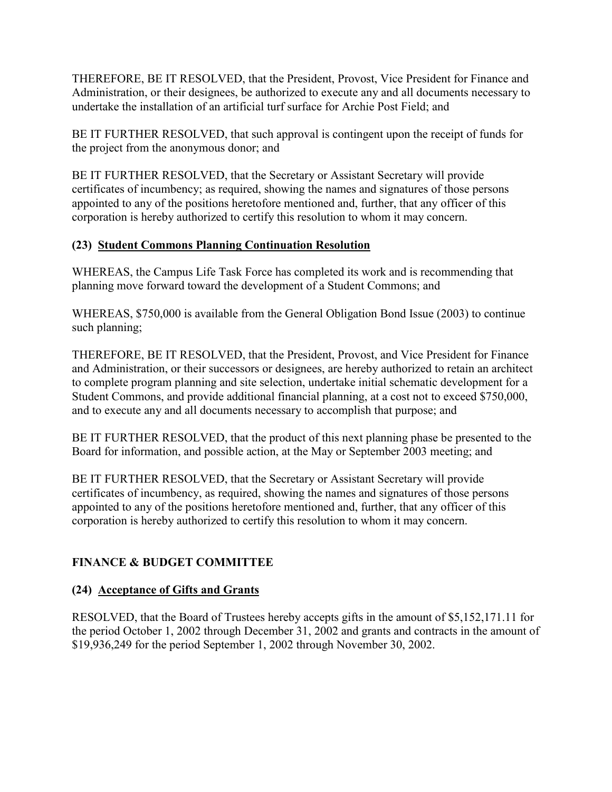<span id="page-38-0"></span>THEREFORE, BE IT RESOLVED, that the President, Provost, Vice President for Finance and Administration, or their designees, be authorized to execute any and all documents necessary to undertake the installation of an artificial turf surface for Archie Post Field; and

BE IT FURTHER RESOLVED, that such approval is contingent upon the receipt of funds for the project from the anonymous donor; and

BE IT FURTHER RESOLVED, that the Secretary or Assistant Secretary will provide certificates of incumbency; as required, showing the names and signatures of those persons appointed to any of the positions heretofore mentioned and, further, that any officer of this corporation is hereby authorized to certify this resolution to whom it may concern.

### **(23) Student Commons Planning Continuation Resolution**

WHEREAS, the Campus Life Task Force has completed its work and is recommending that planning move forward toward the development of a Student Commons; and

WHEREAS, \$750,000 is available from the General Obligation Bond Issue (2003) to continue such planning;

THEREFORE, BE IT RESOLVED, that the President, Provost, and Vice President for Finance and Administration, or their successors or designees, are hereby authorized to retain an architect to complete program planning and site selection, undertake initial schematic development for a Student Commons, and provide additional financial planning, at a cost not to exceed \$750,000, and to execute any and all documents necessary to accomplish that purpose; and

BE IT FURTHER RESOLVED, that the product of this next planning phase be presented to the Board for information, and possible action, at the May or September 2003 meeting; and

BE IT FURTHER RESOLVED, that the Secretary or Assistant Secretary will provide certificates of incumbency, as required, showing the names and signatures of those persons appointed to any of the positions heretofore mentioned and, further, that any officer of this corporation is hereby authorized to certify this resolution to whom it may concern.

# **FINANCE & BUDGET COMMITTEE**

### **(24) Acceptance of Gifts and Grants**

RESOLVED, that the Board of Trustees hereby accepts gifts in the amount of \$5,152,171.11 for the period October 1, 2002 through December 31, 2002 and grants and contracts in the amount of \$19,936,249 for the period September 1, 2002 through November 30, 2002.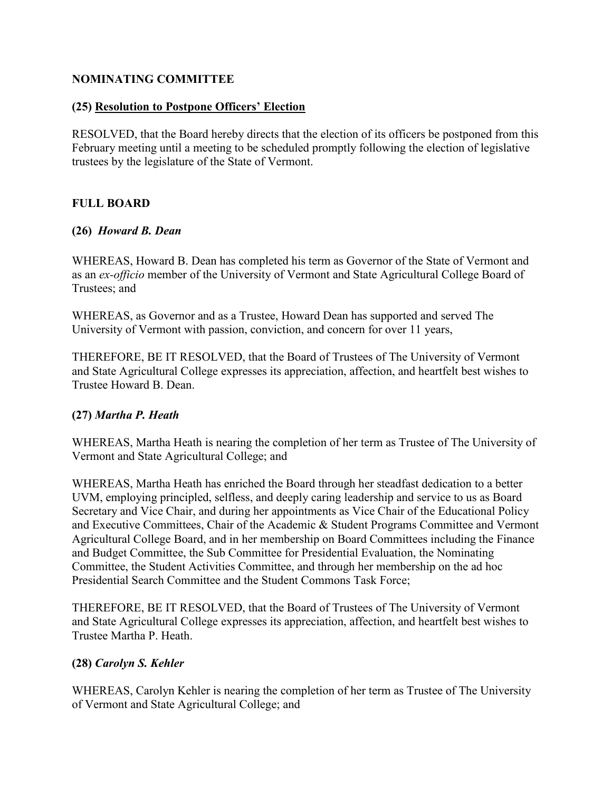#### <span id="page-39-0"></span>**NOMINATING COMMITTEE**

#### **(25) Resolution to Postpone Officers' Election**

RESOLVED, that the Board hereby directs that the election of its officers be postponed from this February meeting until a meeting to be scheduled promptly following the election of legislative trustees by the legislature of the State of Vermont.

### **FULL BOARD**

#### **(26)** *Howard B. Dean*

WHEREAS, Howard B. Dean has completed his term as Governor of the State of Vermont and as an *ex-officio* member of the University of Vermont and State Agricultural College Board of Trustees; and

WHEREAS, as Governor and as a Trustee, Howard Dean has supported and served The University of Vermont with passion, conviction, and concern for over 11 years,

THEREFORE, BE IT RESOLVED, that the Board of Trustees of The University of Vermont and State Agricultural College expresses its appreciation, affection, and heartfelt best wishes to Trustee Howard B. Dean.

#### **(27)** *Martha P. Heath*

WHEREAS, Martha Heath is nearing the completion of her term as Trustee of The University of Vermont and State Agricultural College; and

WHEREAS, Martha Heath has enriched the Board through her steadfast dedication to a better UVM, employing principled, selfless, and deeply caring leadership and service to us as Board Secretary and Vice Chair, and during her appointments as Vice Chair of the Educational Policy and Executive Committees, Chair of the Academic & Student Programs Committee and Vermont Agricultural College Board, and in her membership on Board Committees including the Finance and Budget Committee, the Sub Committee for Presidential Evaluation, the Nominating Committee, the Student Activities Committee, and through her membership on the ad hoc Presidential Search Committee and the Student Commons Task Force;

THEREFORE, BE IT RESOLVED, that the Board of Trustees of The University of Vermont and State Agricultural College expresses its appreciation, affection, and heartfelt best wishes to Trustee Martha P. Heath.

### **(28)** *Carolyn S. Kehler*

WHEREAS, Carolyn Kehler is nearing the completion of her term as Trustee of The University of Vermont and State Agricultural College; and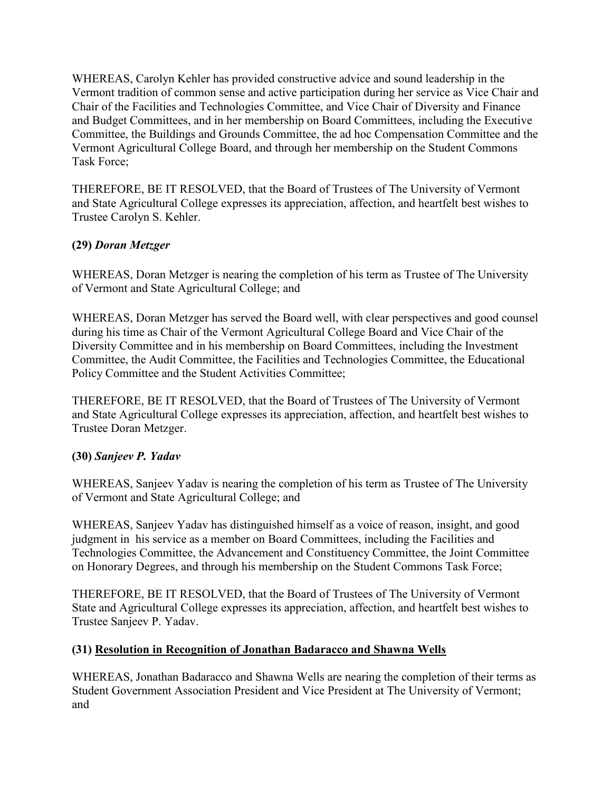<span id="page-40-0"></span>WHEREAS, Carolyn Kehler has provided constructive advice and sound leadership in the Vermont tradition of common sense and active participation during her service as Vice Chair and Chair of the Facilities and Technologies Committee, and Vice Chair of Diversity and Finance and Budget Committees, and in her membership on Board Committees, including the Executive Committee, the Buildings and Grounds Committee, the ad hoc Compensation Committee and the Vermont Agricultural College Board, and through her membership on the Student Commons Task Force;

THEREFORE, BE IT RESOLVED, that the Board of Trustees of The University of Vermont and State Agricultural College expresses its appreciation, affection, and heartfelt best wishes to Trustee Carolyn S. Kehler.

### **(29)** *Doran Metzger*

WHEREAS, Doran Metzger is nearing the completion of his term as Trustee of The University of Vermont and State Agricultural College; and

WHEREAS, Doran Metzger has served the Board well, with clear perspectives and good counsel during his time as Chair of the Vermont Agricultural College Board and Vice Chair of the Diversity Committee and in his membership on Board Committees, including the Investment Committee, the Audit Committee, the Facilities and Technologies Committee, the Educational Policy Committee and the Student Activities Committee;

THEREFORE, BE IT RESOLVED, that the Board of Trustees of The University of Vermont and State Agricultural College expresses its appreciation, affection, and heartfelt best wishes to Trustee Doran Metzger.

### **(30)** *Sanjeev P. Yadav*

WHEREAS, Sanjeev Yadav is nearing the completion of his term as Trustee of The University of Vermont and State Agricultural College; and

WHEREAS, Sanjeev Yadav has distinguished himself as a voice of reason, insight, and good judgment in his service as a member on Board Committees, including the Facilities and Technologies Committee, the Advancement and Constituency Committee, the Joint Committee on Honorary Degrees, and through his membership on the Student Commons Task Force;

THEREFORE, BE IT RESOLVED, that the Board of Trustees of The University of Vermont State and Agricultural College expresses its appreciation, affection, and heartfelt best wishes to Trustee Sanjeev P. Yadav.

### **(31) Resolution in Recognition of Jonathan Badaracco and Shawna Wells**

WHEREAS, Jonathan Badaracco and Shawna Wells are nearing the completion of their terms as Student Government Association President and Vice President at The University of Vermont; and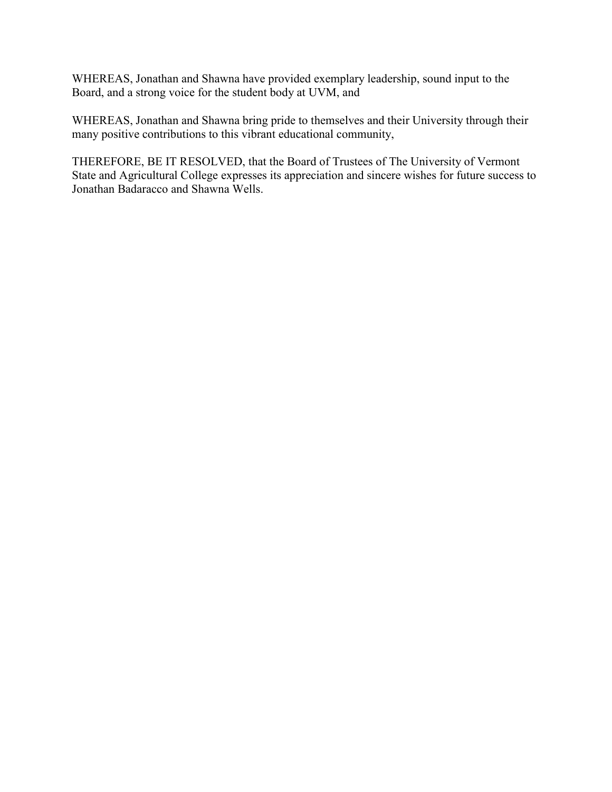WHEREAS, Jonathan and Shawna have provided exemplary leadership, sound input to the Board, and a strong voice for the student body at UVM, and

WHEREAS, Jonathan and Shawna bring pride to themselves and their University through their many positive contributions to this vibrant educational community,

THEREFORE, BE IT RESOLVED, that the Board of Trustees of The University of Vermont State and Agricultural College expresses its appreciation and sincere wishes for future success to Jonathan Badaracco and Shawna Wells.